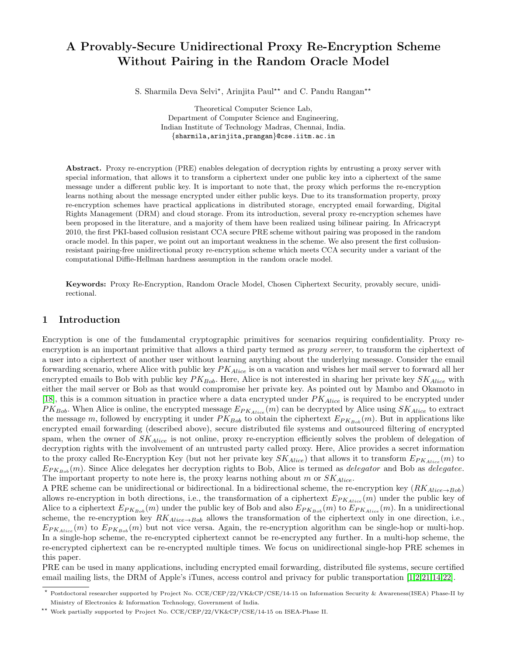# A Provably-Secure Unidirectional Proxy Re-Encryption Scheme Without Pairing in the Random Oracle Model

S. Sharmila Deva Selvi<sup>\*</sup>, Arinjita Paul<sup>\*\*</sup> and C. Pandu Rangan<sup>\*\*</sup>

Theoretical Computer Science Lab, Department of Computer Science and Engineering, Indian Institute of Technology Madras, Chennai, India. {sharmila,arinjita,prangan}@cse.iitm.ac.in

Abstract. Proxy re-encryption (PRE) enables delegation of decryption rights by entrusting a proxy server with special information, that allows it to transform a ciphertext under one public key into a ciphertext of the same message under a different public key. It is important to note that, the proxy which performs the re-encryption learns nothing about the message encrypted under either public keys. Due to its transformation property, proxy re-encryption schemes have practical applications in distributed storage, encrypted email forwarding, Digital Rights Management (DRM) and cloud storage. From its introduction, several proxy re-encryption schemes have been proposed in the literature, and a majority of them have been realized using bilinear pairing. In Africacrypt 2010, the first PKI-based collusion resistant CCA secure PRE scheme without pairing was proposed in the random oracle model. In this paper, we point out an important weakness in the scheme. We also present the first collusionresistant pairing-free unidirectional proxy re-encryption scheme which meets CCA security under a variant of the computational Diffie-Hellman hardness assumption in the random oracle model.

Keywords: Proxy Re-Encryption, Random Oracle Model, Chosen Ciphertext Security, provably secure, unidirectional.

## 1 Introduction

Encryption is one of the fundamental cryptographic primitives for scenarios requiring confidentiality. Proxy reencryption is an important primitive that allows a third party termed as *proxy server*, to transform the ciphertext of a user into a ciphertext of another user without learning anything about the underlying message. Consider the email forwarding scenario, where Alice with public key  $PK_{Alice}$  is on a vacation and wishes her mail server to forward all her encrypted emails to Bob with public key  $PK_{Bob}$ . Here, Alice is not interested in sharing her private key  $SK_{Alice}$  with either the mail server or Bob as that would compromise her private key. As pointed out by Mambo and Okamoto in [\[18\]](#page-20-0), this is a common situation in practice where a data encrypted under  $PK_{Alice}$  is required to be encrypted under  $PK_{Bob}$ . When Alice is online, the encrypted message  $E_{PK_{Alice}}(m)$  can be decrypted by Alice using  $SK_{Alice}$  to extract the message m, followed by encrypting it under  $PK_{Bob}$  to obtain the ciphertext  $E_{PK_{Bob}}(m)$ . But in applications like encrypted email forwarding (described above), secure distributed file systems and outsourced filtering of encrypted spam, when the owner of  $SK_{Alice}$  is not online, proxy re-encryption efficiently solves the problem of delegation of decryption rights with the involvement of an untrusted party called proxy. Here, Alice provides a secret information to the proxy called Re-Encryption Key (but not her private key  $SK_{Alice}$ ) that allows it to transform  $E_{PK_{Alice}}(m)$  to  $E_{PK_{Bob}}(m)$ . Since Alice delegates her decryption rights to Bob, Alice is termed as *delegator* and Bob as *delegatee*. The important property to note here is, the proxy learns nothing about m or  $SK_{Alice}$ .

A PRE scheme can be unidirectional or bidirectional. In a bidirectional scheme, the re-encryption key  $(RK_{Alice\rightarrow Bob})$ allows re-encryption in both directions, i.e., the transformation of a ciphertext  $E_{PK_{Alice}}(m)$  under the public key of Alice to a ciphertext  $E_{PK_{Bob}}(m)$  under the public key of Bob and also  $E_{PK_{Bob}}(m)$  to  $E_{PK_{Alice}}(m)$ . In a unidirectional scheme, the re-encryption key  $RK_{Alice \to Bob}$  allows the transformation of the ciphertext only in one direction, i.e.,  $E_{PK_{Alice}}(m)$  to  $E_{PK_{Bob}}(m)$  but not vice versa. Again, the re-encryption algorithm can be single-hop or multi-hop. In a single-hop scheme, the re-encrypted ciphertext cannot be re-encrypted any further. In a multi-hop scheme, the re-encrypted ciphertext can be re-encrypted multiple times. We focus on unidirectional single-hop PRE schemes in this paper.

PRE can be used in many applications, including encrypted email forwarding, distributed file systems, secure certified email mailing lists, the DRM of Apple's iTunes, access control and privacy for public transportation [\[1,](#page-20-1)[2,](#page-20-2)[21,](#page-21-0)[14,](#page-20-3)[22\]](#page-21-1).

<sup>?</sup> Postdoctoral researcher supported by Project No. CCE/CEP/22/VK&CP/CSE/14-15 on Information Security & Awareness(ISEA) Phase-II by Ministry of Electronics & Information Technology, Government of India.

 $^{\star\star}$  Work partially supported by Project No. CCE/CEP/22/VK&CP/CSE/14-15 on ISEA-Phase II.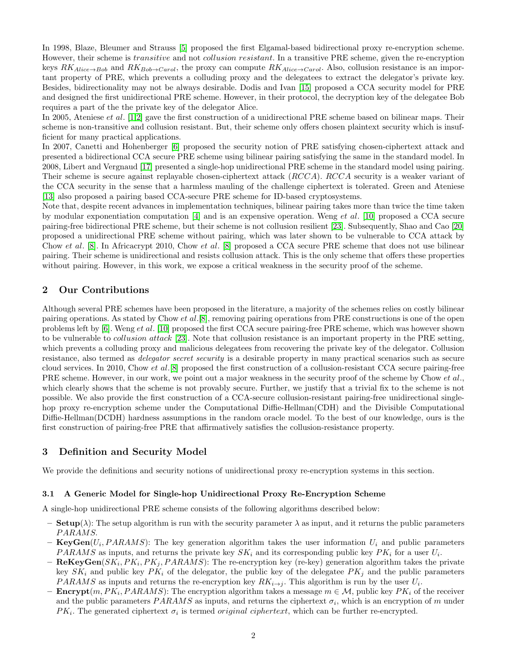In 1998, Blaze, Bleumer and Strauss [\[5\]](#page-20-4) proposed the first Elgamal-based bidirectional proxy re-encryption scheme. However, their scheme is *transitive* and not *collusion resistant*. In a transitive PRE scheme, given the re-encryption keys  $RK_{Alice\to Bob}$  and  $RK_{Bob\to Carol}$ , the proxy can compute  $RK_{Alice\to Carol}$ . Also, collusion resistance is an important property of PRE, which prevents a colluding proxy and the delegatees to extract the delegator's private key. Besides, bidirectionality may not be always desirable. Dodis and Ivan [\[15\]](#page-20-5) proposed a CCA security model for PRE and designed the first unidirectional PRE scheme. However, in their protocol, the decryption key of the delegatee Bob requires a part of the the private key of the delegator Alice.

In 2005, Ateniese *et al.* [\[1,](#page-20-1)[2\]](#page-20-2) gave the first construction of a unidirectional PRE scheme based on bilinear maps. Their scheme is non-transitive and collusion resistant. But, their scheme only offers chosen plaintext security which is insufficient for many practical applications.

In 2007, Canetti and Hohenberger [\[6\]](#page-20-6) proposed the security notion of PRE satisfying chosen-ciphertext attack and presented a bidirectional CCA secure PRE scheme using bilinear pairing satisfying the same in the standard model. In 2008, Libert and Vergnaud [\[17\]](#page-20-7) presented a single-hop unidirectional PRE scheme in the standard model using pairing. Their scheme is secure against replayable chosen-ciphertext attack (RCCA). RCCA security is a weaker variant of the CCA security in the sense that a harmless mauling of the challenge ciphertext is tolerated. Green and Ateniese [\[13\]](#page-20-8) also proposed a pairing based CCA-secure PRE scheme for ID-based cryptosystems.

Note that, despite recent advances in implementation techniques, bilinear pairing takes more than twice the time taken by modular exponentiation computation [\[4\]](#page-20-9) and is an expensive operation. Weng *et al.* [\[10\]](#page-20-10) proposed a CCA secure pairing-free bidirectional PRE scheme, but their scheme is not collusion resilient [\[23\]](#page-21-2). Subsequently, Shao and Cao [\[20\]](#page-20-11) proposed a unidirectional PRE scheme without pairing, which was later shown to be vulnerable to CCA attack by Chow et al. [\[8\]](#page-20-12). In Africacrypt 2010, Chow et al. [8] proposed a CCA secure PRE scheme that does not use bilinear pairing. Their scheme is unidirectional and resists collusion attack. This is the only scheme that offers these properties without pairing. However, in this work, we expose a critical weakness in the security proof of the scheme.

## 2 Our Contributions

Although several PRE schemes have been proposed in the literature, a majority of the schemes relies on costly bilinear pairing operations. As stated by Chow et al. [\[8\]](#page-20-12), removing pairing operations from PRE constructions is one of the open problems left by [\[6\]](#page-20-6). Weng et al. [\[10\]](#page-20-10) proposed the first CCA secure pairing-free PRE scheme, which was however shown to be vulnerable to *collusion attack* [\[23\]](#page-21-2). Note that collusion resistance is an important property in the PRE setting, which prevents a colluding proxy and malicious delegatees from recovering the private key of the delegator. Collusion resistance, also termed as delegator secret security is a desirable property in many practical scenarios such as secure cloud services. In 2010, Chow et  $al.8$  proposed the first construction of a collusion-resistant CCA secure pairing-free PRE scheme. However, in our work, we point out a major weakness in the security proof of the scheme by Chow et al., which clearly shows that the scheme is not provably secure. Further, we justify that a trivial fix to the scheme is not possible. We also provide the first construction of a CCA-secure collusion-resistant pairing-free unidirectional singlehop proxy re-encryption scheme under the Computational Diffie-Hellman(CDH) and the Divisible Computational Diffie-Hellman(DCDH) hardness assumptions in the random oracle model. To the best of our knowledge, ours is the first construction of pairing-free PRE that affirmatively satisfies the collusion-resistance property.

# 3 Definition and Security Model

We provide the definitions and security notions of unidirectional proxy re-encryption systems in this section.

## 3.1 A Generic Model for Single-hop Unidirectional Proxy Re-Encryption Scheme

A single-hop unidirectional PRE scheme consists of the following algorithms described below:

- $-$  Setup( $\lambda$ ): The setup algorithm is run with the security parameter  $\lambda$  as input, and it returns the public parameters PARAMS.
- **KeyGen**( $U_i$ , PARAMS): The key generation algorithm takes the user information  $U_i$  and public parameters PARAMS as inputs, and returns the private key  $SK_i$  and its corresponding public key  $PK_i$  for a user  $U_i$ .
- $\mathbf{ReKeyGen}(SK_i, PK_i, PK_j, PARAMS)$ : The re-encryption key (re-key) generation algorithm takes the private key  $SK_i$  and public key  $PK_i$  of the delegator, the public key of the delegatee  $PK_i$  and the public parameters PARAMS as inputs and returns the re-encryption key  $RK_{i\rightarrow j}$ . This algorithm is run by the user  $U_i$ .
- $-$  Encrypt $(m, PK_i, PARAMS)$ : The encryption algorithm takes a message  $m \in \mathcal{M}$ , public key  $PK_i$  of the receiver and the public parameters  $PARAMS$  as inputs, and returns the ciphertext  $\sigma_i$ , which is an encryption of m under  $PK_i$ . The generated ciphertext  $\sigma_i$  is termed *original ciphertext*, which can be further re-encrypted.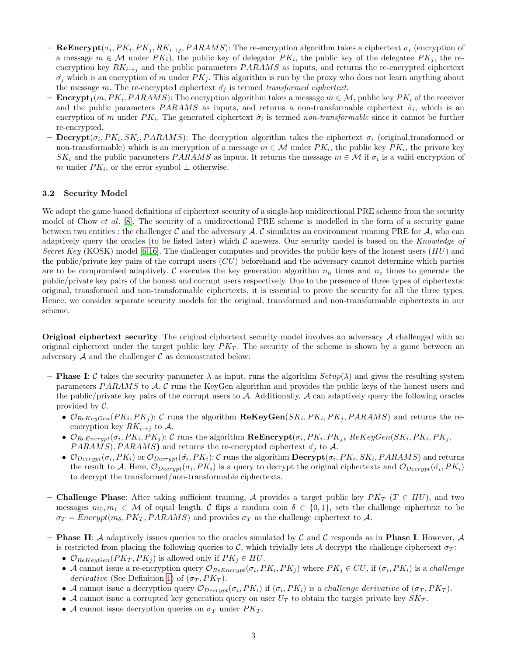- **ReEncrypt** $(\sigma_i, PK_i, PK_j, RK_{i\to j}, PARAMS)$ : The re-encryption algorithm takes a ciphertext  $\sigma_i$  (encryption of a message  $m \in \mathcal{M}$  under  $PK_i$ ), the public key of delegator  $PK_i$ , the public key of the delegatee  $PK_j$ , the reencryption key  $RK_{i\rightarrow j}$  and the public parameters  $PARAMS$  as inputs, and returns the re-encrypted ciphertext  $\hat{\sigma}_j$  which is an encryption of m under  $PK_j$ . This algorithm is run by the proxy who does not learn anything about the message m. The re-encrypted ciphertext  $\hat{\sigma}_j$  is termed transformed ciphertext.
- $-$  Encrypt<sub>1</sub> $(m, PK_i, PARAMS)$ : The encryption algorithm takes a message  $m \in \mathcal{M}$ , public key  $PK_i$  of the receiver and the public parameters  $PARAMS$  as inputs, and returns a non-transformable ciphertext  $\hat{\sigma}_i$ , which is an encryption of m under  $PK_i$ . The generated ciphertext  $\hat{\sigma}_i$  is termed non-transformable since it cannot be further re-encrypted.
- $-$  Decrypt $(\sigma_i, PK_i, SK_i, PARAMS)$ : The decryption algorithm takes the ciphertext  $\sigma_i$  (original,transformed or non-transformable) which is an encryption of a message  $m \in \mathcal{M}$  under  $PK_i$ , the public key  $PK_i$ , the private key  $SK_i$  and the public parameters  $PARAMS$  as inputs. It returns the message  $m \in \mathcal{M}$  if  $\sigma_i$  is a valid encryption of m under  $PK_i$ , or the error symbol  $\perp$  otherwise.

## 3.2 Security Model

We adopt the game based definitions of ciphertext security of a single-hop unidirectional PRE scheme from the security model of Chow et al. [\[8\]](#page-20-12). The security of a unidirectional PRE scheme is modelled in the form of a security game between two entities : the challenger C and the adversary A. C simulates an environment running PRE for A, who can adaptively query the oracles (to be listed later) which  $C$  answers. Our security model is based on the Knowledge of Secret Key (KOSK) model [\[6,](#page-20-6)[16\]](#page-20-13). The challenger computes and provides the public keys of the honest users (HU) and the public/private key pairs of the corrupt users  $(CU)$  beforehand and the adversary cannot determine which parties are to be compromised adaptively. C executes the key generation algorithm  $n_h$  times and  $n_c$  times to generate the public/private key pairs of the honest and corrupt users respectively. Due to the presence of three types of ciphertexts: original, transformed and non-transformable ciphertexts, it is essential to prove the security for all the three types. Hence, we consider separate security models for the original, transformed and non-transformable ciphertexts in our scheme.

**Original ciphertext security** The original ciphertext security model involves an adversary  $A$  challenged with an original ciphertext under the target public key  $PK_T$ . The security of the scheme is shown by a game between an adversary  $A$  and the challenger  $C$  as demonstrated below:

- **Phase I:** C takes the security parameter  $\lambda$  as input, runs the algorithm  $Setup(\lambda)$  and gives the resulting system parameters PARAMS to A. C runs the KeyGen algorithm and provides the public keys of the honest users and the public/private key pairs of the corrupt users to  $A$ . Additionally,  $A$  can adaptively query the following oracles provided by C.
	- $\mathcal{O}_{ReKeyGen}(PK_i, PK_j)$ : C runs the algorithm  $\mathbf{ReKeyGen}(SK_i, PK_i, PK_j, PARAMS)$  and returns the reencryption key  $RK_{i\rightarrow j}$  to A.
	- $\mathcal{O}_{Re\,Encryption}( \sigma_i, PK_i, PK_j)$ : C runs the algorithm  $\mathbf{Re\,Encryption}(\sigma_i, PK_i, PK_j, ReKeyGen(SK_i, PK_i, PK_j,$  $PARAMS$ ,  $PARAMS$ ) and returns the re-encrypted ciphertext  $\hat{\sigma_i}$  to A.
	- $\mathcal{O}_{Decrypt}(\sigma_i, PK_i)$  or  $\mathcal{O}_{Decrypt}(\hat{\sigma_i}, PK_i)$ : C runs the algorithm  $\mathbf{Decrypt}(\sigma_i, PK_i, SK_i, PARAMS)$  and returns the result to A. Here,  $\mathcal{O}_{Decrypt}(\sigma_i, PK_i)$  is a query to decrypt the original ciphertexts and  $\mathcal{O}_{Decrypt}(\hat{\sigma_i}, PK_i)$ to decrypt the transformed/non-transformable ciphertexts.
- Challenge Phase: After taking sufficient training, A provides a target public key  $PK_T$  (T  $\in HU$ ), and two messages  $m_0, m_1 \in \mathcal{M}$  of equal length. C flips a random coin  $\delta \in \{0, 1\}$ , sets the challenge ciphertext to be  $\sigma_T = \text{Encrypt}(m_\delta, PK_T, PARAMS)$  and provides  $\sigma_T$  as the challenge ciphertext to A.
- <span id="page-2-0"></span>– Phase II: A adaptively issues queries to the oracles simulated by C and C responds as in Phase I. However, A is restricted from placing the following queries to C, which trivially lets A decrypt the challenge ciphertext  $\sigma_T$ :
	- $\mathcal{O}_{ReKeyGen}(PK_T, PK_j)$  is allowed only if  $PK_j \in HU$ .
	- A cannot issue a re-encryption query  $\mathcal{O}_{Re\text{Encrypt}}(\sigma_i, PK_i, PK_j)$  where  $PK_j \in CU$ , if  $(\sigma_i, PK_i)$  is a challenge derivative (See Definition [1\)](#page-2-0) of  $(\sigma_T, PK_T)$ .
	- A cannot issue a decryption query  $\mathcal{O}_{Decrypt}(\sigma_i, PK_i)$  if  $(\sigma_i, PK_i)$  is a *challenge derivative* of  $(\sigma_T, PK_T)$ .
	- A cannot issue a corrupted key generation query on user  $U_T$  to obtain the target private key  $SK_T$ .
	- A cannot issue decryption queries on  $\sigma_T$  under  $PK_T$ .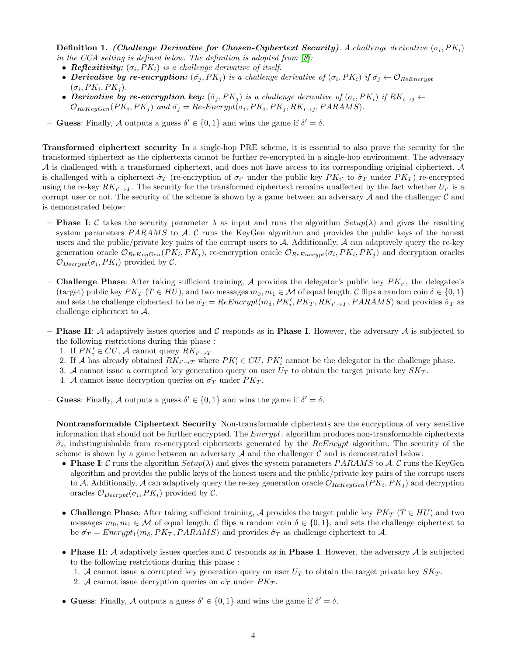**Definition 1.** (Challenge Derivative for Chosen-Ciphertext Security). A challenge derivative  $(\sigma_i, PK_i)$ in the CCA setting is defined below. The definition is adopted from  $[8]$ :

- Reflexitivity:  $(\sigma_i, PK_i)$  is a challenge derivative of itself.
- Derivative by re-encryption:  $(\hat{\sigma}_j, PK_j)$  is a challenge derivative of  $(\sigma_i, PK_i)$  if  $\hat{\sigma}_j \leftarrow \mathcal{O}_{ReEncrypt}$  $(\sigma_i, PK_i, PK_j).$
- Derivative by re-encryption key:  $(\hat{\sigma}_j, PK_j)$  is a challenge derivative of  $(\sigma_i, PK_i)$  if  $RK_{i\rightarrow j}$   $\leftarrow$  $\mathcal{O}_{ReKeyGen}(PK_i, PK_j)$  and  $\hat{\sigma_j} = Re\text{-}Energy(\sigma_i, PK_i, PK_j, RK_{i\rightarrow j},PARAMS).$
- **Guess:** Finally, A outputs a guess  $\delta' \in \{0, 1\}$  and wins the game if  $\delta' = \delta$ .

Transformed ciphertext security In a single-hop PRE scheme, it is essential to also prove the security for the transformed ciphertext as the ciphertexts cannot be further re-encrypted in a single-hop environment. The adversary A is challenged with a transformed ciphertext, and does not have access to its corresponding original ciphertext. A is challenged with a ciphertext  $\hat{\sigma}_T$  (re-encryption of  $\sigma_{i'}$  under the public key  $PK_{i'}$  to  $\hat{\sigma}_T$  under  $PK_T$ ) re-encrypted using the re-key  $RK_{i' \to T}$ . The security for the transformed ciphertext remains unaffected by the fact whether  $U_{i'}$  is a corrupt user or not. The security of the scheme is shown by a game between an adversary  $A$  and the challenger  $C$  and is demonstrated below:

- **Phase I:** C takes the security parameter  $\lambda$  as input and runs the algorithm  $Setup(\lambda)$  and gives the resulting system parameters  $PARAMS$  to  $A$ .  $C$  runs the KeyGen algorithm and provides the public keys of the honest users and the public/private key pairs of the corrupt users to  $A$ . Additionally,  $A$  can adaptively query the re-key generation oracle  $\mathcal{O}_{ReKeyGen}(PK_i, PK_j)$ , re-encryption oracle  $\mathcal{O}_{ReEncrypt}(\sigma_i, PK_i, PK_j)$  and decryption oracles  $\mathcal{O}_{Decrypt}(\sigma_i, PK_i)$  provided by C.
- Challenge Phase: After taking sufficient training, A provides the delegator's public key  $PK_{i'}$ , the delegatee's (target) public key  $PK_T$  ( $T \in HU$ ), and two messages  $m_0, m_1 \in M$  of equal length. C flips a random coin  $\delta \in \{0, 1\}$ and sets the challenge ciphertext to be  $\hat{\sigma_T} = ReEncrypt(m_\delta, PK'_i, PK_T, RK_{i' \to T}, PARAMS)$  and provides  $\hat{\sigma_T}$  as challenge ciphertext to A.
- Phase II: A adaptively issues queries and C responds as in Phase I. However, the adversary A is subjected to the following restrictions during this phase :
	- 1. If  $PK'_{i} \in CU$ , A cannot query  $RK_{i' \to T}$ .
	- 2. If A has already obtained  $RK_{i' \to T}$  where  $PK_i' \in CU$ ,  $PK_i'$  cannot be the delegator in the challenge phase.
	- 3. A cannot issue a corrupted key generation query on user  $U_T$  to obtain the target private key  $SK_T$ .
	- 4. A cannot issue decryption queries on  $\hat{\sigma}_T$  under  $PK_T$ .
- **Guess:** Finally, A outputs a guess  $\delta' \in \{0, 1\}$  and wins the game if  $\delta' = \delta$ .

Nontransformable Ciphertext Security Non-transformable ciphertexts are the encryptions of very sensitive information that should not be further encrypted. The  $Energy_1$  algorithm produces non-transformable ciphertexts  $\hat{\sigma}_i$ , indistinguishable from re-encrypted ciphertexts generated by the  $ReEncypt$  algorithm. The security of the scheme is shown by a game between an adversary  $A$  and the challenger  $C$  and is demonstrated below:

- Phase I: C runs the algorithm  $Setup(\lambda)$  and gives the system parameters PARAMS to A. C runs the KeyGen algorithm and provides the public keys of the honest users and the public/private key pairs of the corrupt users to A. Additionally, A can adaptively query the re-key generation oracle  $\mathcal{O}_{ReKeyGen}(PK_i, PK_j)$  and decryption oracles  $\mathcal{O}_{Decrypt}(\sigma_i, PK_i)$  provided by C.
- Challenge Phase: After taking sufficient training, A provides the target public key  $PK_T$  ( $T \in HU$ ) and two messages  $m_0, m_1 \in \mathcal{M}$  of equal length. C flips a random coin  $\delta \in \{0, 1\}$ , and sets the challenge ciphertext to be  $\hat{\sigma}_T = \text{Encrypt}_1(m_\delta, PK_T, PARAMS)$  and provides  $\hat{\sigma}_T$  as challenge ciphertext to A.
- Phase II: A adaptively issues queries and C responds as in Phase I. However, the adversary A is subjected to the following restrictions during this phase :
	- 1. A cannot issue a corrupted key generation query on user  $U_T$  to obtain the target private key  $SK_T$ .
	- 2. A cannot issue decryption queries on  $\hat{\sigma}_T$  under  $PK_T$ .
- Guess: Finally, A outputs a guess  $\delta' \in \{0,1\}$  and wins the game if  $\delta' = \delta$ .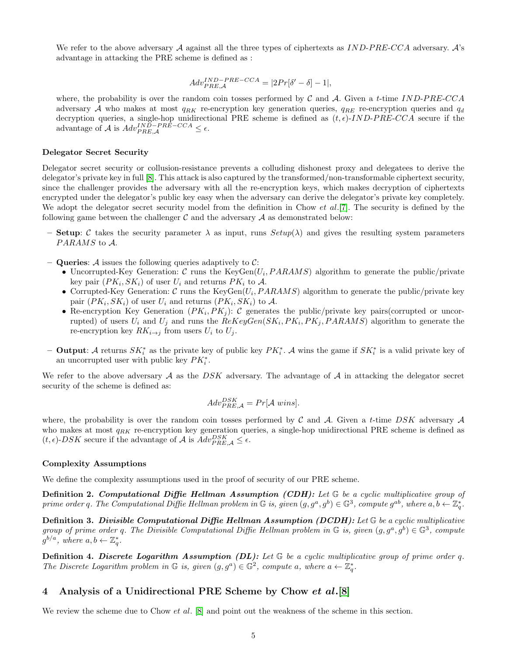We refer to the above adversary A against all the three types of ciphertexts as  $IND-PRE-CCA$  adversary. A's advantage in attacking the PRE scheme is defined as :

$$
Adv_{PRE,A}^{IND-PRE-CCA} = |2Pr[\delta' - \delta] - 1|,
$$

where, the probability is over the random coin tosses performed by C and A. Given a t-time  $IND-PRE-CCA$ adversary A who makes at most  $q_{RK}$  re-encryption key generation queries,  $q_{RE}$  re-encryption queries and  $q_d$ decryption queries, a single-hop unidirectional PRE scheme is defined as  $(t, \epsilon)$ -IND-PRE-CCA secure if the advantage of A is  $Adv_{PRE,A}^{IND-PRE-CCA} \leq \epsilon$ .

#### Delegator Secret Security

Delegator secret security or collusion-resistance prevents a colluding dishonest proxy and delegatees to derive the delegator's private key in full [\[8\]](#page-20-12). This attack is also captured by the transformed/non-transformable ciphertext security, since the challenger provides the adversary with all the re-encryption keys, which makes decryption of ciphertexts encrypted under the delegator's public key easy when the adversary can derive the delegator's private key completely. We adopt the delegator secret security model from the definition in Chow *et al.*[\[7\]](#page-20-14). The security is defined by the following game between the challenger  $\mathcal C$  and the adversary  $\mathcal A$  as demonstrated below:

- Setup: C takes the security parameter  $\lambda$  as input, runs  $Setup(\lambda)$  and gives the resulting system parameters PARAMS to A.
- Queries: A issues the following queries adaptively to  $\mathcal{C}$ :
	- Uncorrupted-Key Generation:  $C$  runs the KeyGen( $U_i$ ,  $PARAMS$ ) algorithm to generate the public/private key pair  $(PK_i, SK_i)$  of user  $U_i$  and returns  $PK_i$  to  $\mathcal{A}$ .
	- Corrupted-Key Generation: C runs the KeyGen( $U_i$ ,  $PARAMS$ ) algorithm to generate the public/private key pair  $(PK_i, SK_i)$  of user  $U_i$  and returns  $(PK_i, SK_i)$  to A.
	- Re-encryption Key Generation  $(PK_i, PK_j)$ : C generates the public/private key pairs(corrupted or uncorrupted) of users  $U_i$  and  $U_j$  and runs the  $ReKeyGen(SK_i, PK_i, PK_j, PARAMS)$  algorithm to generate the re-encryption key  $RK_{i\rightarrow j}$  from users  $U_i$  to  $U_j$ .
- $-$  Output: *A* returns  $SK_i^*$  as the private key of public key  $PK_i^*$ . *A* wins the game if  $SK_i^*$  is a valid private key of an uncorrupted user with public key  $PK_i^*$ .

We refer to the above adversary A as the DSK adversary. The advantage of A in attacking the delegator secret security of the scheme is defined as:

$$
Adv_{PRE,\mathcal{A}}^{DSK} = Pr[\mathcal{A} \text{ wins}].
$$

where, the probability is over the random coin tosses performed by C and A. Given a t-time DSK adversary A who makes at most  $q_{RK}$  re-encryption key generation queries, a single-hop unidirectional PRE scheme is defined as  $(t, \epsilon)$ -DSK secure if the advantage of A is  $Adv_{PRE,\mathcal{A}}^{DSK} \leq \epsilon$ .

### Complexity Assumptions

We define the complexity assumptions used in the proof of security of our PRE scheme.

**Definition 2. Computational Diffie Hellman Assumption (CDH):** Let  $\mathbb{G}$  be a cyclic multiplicative group of prime order q. The Computational Diffie Hellman problem in  $\mathbb G$  is, given  $(g,g^a,g^b)\in\mathbb G^3$ , compute  $g^{ab}$ , where  $a,b\leftarrow {\mathbb Z}_q^*$ .

**Definition 3.** Divisible Computational Diffie Hellman Assumption (DCDH): Let  $\mathbb{G}$  be a cyclic multiplicative group of prime order q. The Divisible Computational Diffie Hellman problem in  $\mathbb G$  is, given  $(g, g^a, g^b) \in \mathbb G^3$ , compute  $g^{b/a}$ , where  $a, b \leftarrow \mathbb{Z}_q^*$ .

**Definition 4. Discrete Logarithm Assumption (DL):** Let  $\mathbb{G}$  be a cyclic multiplicative group of prime order q. The Discrete Logarithm problem in  $\mathbb G$  is, given  $(g, g^a) \in \mathbb G^2$ , compute a, where  $a \leftarrow \mathbb Z_q^*$ .

## 4 Analysis of a Unidirectional PRE Scheme by Chow et al. [\[8\]](#page-20-12)

We review the scheme due to Chow et al. [\[8\]](#page-20-12) and point out the weakness of the scheme in this section.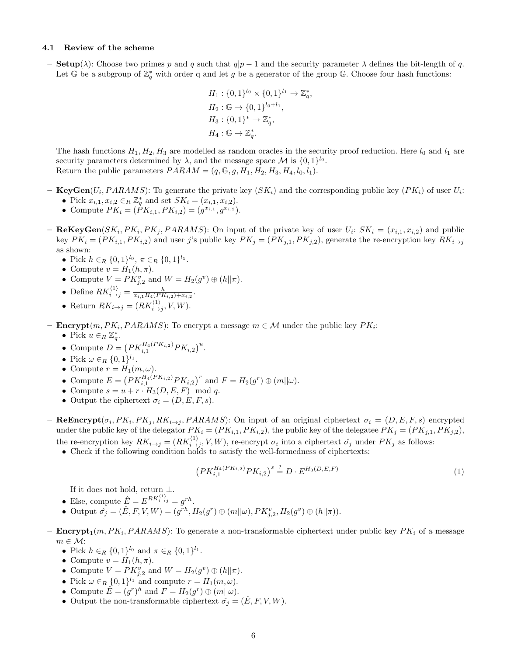#### 4.1 Review of the scheme

– Setup( $\lambda$ ): Choose two primes p and q such that  $q|p-1$  and the security parameter  $\lambda$  defines the bit-length of q. Let  $\mathbb{G}$  be a subgroup of  $\mathbb{Z}_q^*$  with order q and let g be a generator of the group  $\mathbb{G}$ . Choose four hash functions:

$$
H_1: \{0, 1\}^{l_0} \times \{0, 1\}^{l_1} \to \mathbb{Z}_q^*
$$
  
\n
$$
H_2: \mathbb{G} \to \{0, 1\}^{l_0 + l_1},
$$
  
\n
$$
H_3: \{0, 1\}^* \to \mathbb{Z}_q^*,
$$
  
\n
$$
H_4: \mathbb{G} \to \mathbb{Z}_q^*.
$$

,

The hash functions  $H_1, H_2, H_3$  are modelled as random oracles in the security proof reduction. Here  $l_0$  and  $l_1$  are security parameters determined by  $\lambda$ , and the message space M is  $\{0,1\}^{l_0}$ . Return the public parameters  $PARAM = (q, \mathbb{G}, g, H_1, H_2, H_3, H_4, l_0, l_1).$ 

- KeyGen( $U_i$ ,  $PARAMS$ ): To generate the private key  $(SK_i)$  and the corresponding public key  $(PK_i)$  of user  $U_i$ :
	- Pick  $x_{i,1}, x_{i,2} \in_R \mathbb{Z}_q^*$  and set  $SK_i = (x_{i,1}, x_{i,2}).$ • Compute  $PK_i = (\hat{P}K_{i,1}, PK_{i,2}) = (g^{x_{i,1}}, g^{x_{i,2}}).$
- **ReKeyGen**( $SK_i, PK_i, PK_j, PARAMS$ ): On input of the private key of user  $U_i$ :  $SK_i = (x_{i,1}, x_{i,2})$  and public key  $PK_i = (PK_{i,1}, PK_{i,2})$  and user j's public key  $PK_j = (PK_{j,1}, PK_{j,2})$ , generate the re-encryption key  $RK_{i\rightarrow j}$ as shown:
	- Pick  $h \in_R \{0,1\}^{l_0}, \pi \in_R \{0,1\}^{l_1}.$
	- Compute  $v = H_1(h, \pi)$ .
	- Compute  $V = PK_{j,2}^v$  and  $W = H_2(g^v) \oplus (h||\pi)$ .
	- Define  $RK_{i \to j}^{\langle 1 \rangle} = \frac{h}{x_{i,1}H_4(PK_{i,2}) + x_{i,2}}$ .
	- Return  $RK_{i\rightarrow j} = (RK_{i\rightarrow j}^{\langle 1 \rangle}, V, W)$ .
- **Encrypt** $(m, PK_i, PARAMS)$ : To encrypt a message  $m \in M$  under the public key  $PK_i$ :
	- Pick  $u \in_R \mathbb{Z}_q^*$ .
	- Compute  $D = (PK_{i,1}^{H_4(PK_{i,2})}PK_{i,2})^u$ .
	- Pick  $\omega \in_R \{0,1\}^{l_1}$ .
	- Compute  $r = H_1(m, \omega)$ .
	- Compute  $E = (PK_{i,1}^{H_4(PK_{i,2})}PK_{i,2})^r$  and  $F = H_2(g^r) \oplus (m||\omega)$ .
	- Compute  $s = u + r \cdot H_3(D, E, F) \mod q$
	- Output the ciphertext  $\sigma_i = (D, E, F, s)$ .
- **ReEncrypt** $(\sigma_i, PK_i, PK_j, RK_{i\to j}, PARAMS)$ : On input of an original ciphertext  $\sigma_i = (D, E, F, s)$  encrypted under the public key of the delegator  $PK_i = (PK_{i,1}, PK_{i,2})$ , the public key of the delegatee  $PK_j = (PK_{j,1}, PK_{j,2})$ , the re-encryption key  $RK_{i\to j} = (RK_{i\to j}^{(1)}, V, W)$ , re-encrypt  $\sigma_i$  into a ciphertext  $\hat{\sigma_j}$  under  $PK_j$  as follows:
	- Check if the following condition holds to satisfy the well-formedness of ciphertexts:

<span id="page-5-0"></span>
$$
\left(PK_{i,1}^{H_4(PK_{i,2})}PK_{i,2}\right)^s \stackrel{?}{=} D \cdot E^{H_3(D,E,F)}\tag{1}
$$

If it does not hold, return  $\perp$ .

- Else, compute  $\hat{E} = E^{RK_{i \to j}^{(1)}} = g^{rh}$ .
- Output  $\hat{\sigma}_j = (\hat{E}, F, V, W) = (g^{rh}, H_2(g^r) \oplus (m||\omega), PK_{j,2}^v, H_2(g^v) \oplus (h||\pi)).$
- **Encrypt**<sub>1</sub> $(m, PK_i, PARAMS)$ : To generate a non-transformable ciphertext under public key  $PK_i$  of a message  $m \in \mathcal{M}$ :
	- Pick  $h \in_R \{0,1\}^{l_0}$  and  $\pi \in_R \{0,1\}^{l_1}$ .
	- Compute  $v = H_1(h, \pi)$ .
	- Compute  $V = PK_{j,2}^v$  and  $W = H_2(g^v) \oplus (h||\pi)$ .
	- Pick  $\omega \in_R \{0,1\}^{l_1}$  and compute  $r = H_1(m, \omega)$ .
	- Compute  $\hat{E} = (g^r)^h$  and  $F = H_2(g^r) \oplus (m||\omega)$ .
	- Output the non-transformable ciphertext  $\hat{\sigma}_j = (\hat{E}, F, V, W)$ .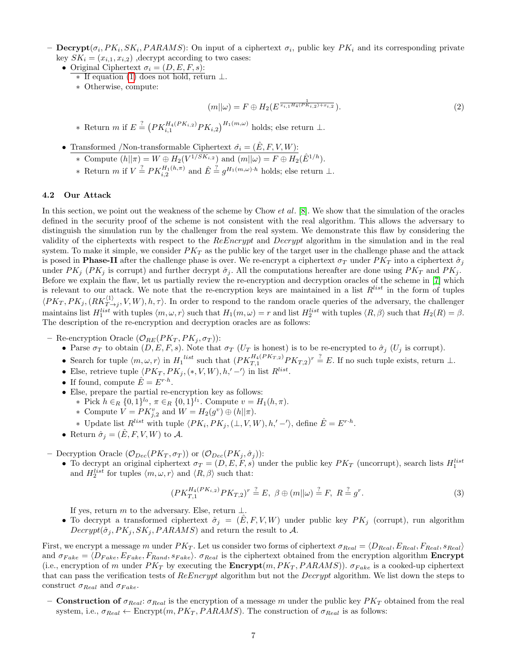- Decrypt $(\sigma_i, PK_i, SK_i, PARAMS)$ : On input of a ciphertext  $\sigma_i$ , public key  $PK_i$  and its corresponding private key  $SK_i = (x_{i,1}, x_{i,2})$ , decrypt according to two cases:
	- Original Ciphertext  $\sigma_i = (D, E, F, s)$ :
		- ∗ If equation [\(1\)](#page-5-0) does not hold, return ⊥.
		- ∗ Otherwise, compute:

<span id="page-6-0"></span>
$$
(m||\omega) = F \oplus H_2(E^{\frac{1}{x_{i,1}H_4(P_{K_{i,2}}) + x_{i,2}}}).
$$
\n(2)

- ∗ Return *m* if  $E \stackrel{?}{=} (PK_{i,1}^{H_4(PK_{i,2})}PK_{i,2})^{H_1(m,\omega)}$  holds; else return ⊥.
- Transformed /Non-transformable Ciphertext  $\hat{\sigma}_i = (\hat{E}, F, V, W)$ :
	- ∗ Compute  $(h||π) = W ⊕ H_2(V^{1/SK_{i,2}})$  and  $(m||ω) = F ⊕ H_2(E^{1/h})$ .
	- ∗ Return *m* if  $V = P K_{i,2}^{H_1(h,\pi)}$  and  $\hat{E} = g^{H_1(m,\omega)\cdot h}$  holds; else return ⊥.

## 4.2 Our Attack

In this section, we point out the weakness of the scheme by Chow *et al.* [\[8\]](#page-20-12). We show that the simulation of the oracles defined in the security proof of the scheme is not consistent with the real algorithm. This allows the adversary to distinguish the simulation run by the challenger from the real system. We demonstrate this flaw by considering the validity of the ciphertexts with respect to the  $ReEncrypt$  and  $Decrypt$  algorithm in the simulation and in the real system. To make it simple, we consider  $PK_T$  as the public key of the target user in the challenge phase and the attack is posed in **Phase-II** after the challenge phase is over. We re-encrypt a ciphertext  $\sigma_T$  under  $PK_T$  into a ciphertext  $\hat{\sigma}_j$ under  $PK_j$  (PK<sub>j</sub> is corrupt) and further decrypt  $\hat{\sigma}_j$ . All the computations hereafter are done using PK<sub>T</sub> and PK<sub>j</sub>. Before we explain the flaw, let us partially review the re-encryption and decryption oracles of the scheme in [\[7\]](#page-20-14) which is relevant to our attack. We note that the re-encryption keys are maintained in a list  $R^{list}$  in the form of tuples  $\langle PK_T, PK_j, (RK_{T\to j}^{(1)}, V, W), h, \tau \rangle$ . In order to respond to the random oracle queries of the adversary, the challenger maintains list  $H_1^{list}$  with tuples  $\langle m, \omega, r \rangle$  such that  $H_1(m, \omega) = r$  and list  $H_2^{list}$  with tuples  $\langle R, \beta \rangle$  such that  $H_2(R) = \beta$ . The description of the re-encryption and decryption oracles are as follows:

– Re-encryption Oracle  $(\mathcal{O}_{RE}(PK_T, PK_i, \sigma_T))$ :

- Parse  $\sigma_T$  to obtain  $(D, E, F, s)$ . Note that  $\sigma_T$  ( $U_T$  is honest) is to be re-encrypted to  $\hat{\sigma}_j$  ( $U_j$  is corrupt).
- Search for tuple  $\langle m, \omega, r \rangle$  in  $H_1^{list}$  such that  $(PK_{T,1}^{H_4(PK_{T,2})} P K_{T,2})^r \stackrel{?}{=} E$ . If no such tuple exists, return  $\perp$ .
- Else, retrieve tuple  $\langle PK_T, PK_j, (*, V, W), h, ' -'\rangle$  in list  $R^{list}$ .
- If found, compute  $\hat{E} = E^{r \cdot h}$ .
- Else, prepare the partial re-encryption key as follows:
	- ∗ Pick  $h \in_R \{0, 1\}^{l_0}, \pi \in_R \{0, 1\}^{l_1}$ . Compute  $v = H_1(h, \pi)$ .
	- ∗ Compute  $V = PK_{j,2}^v$  and  $W = H_2(g^v) ⊕ (h||π)$ .
	- ∗ Update list  $R^{list}$  with tuple  $\langle PK_i, PK_j, (\perp, V, W), h, '−'\rangle$ , define  $\hat{E} = E^{r \cdot h}$ .
- Return  $\hat{\sigma}_j = (\hat{E}, F, V, W)$  to A.

– Decryption Oracle  $(\mathcal{O}_{Dec}(PK_T, \sigma_T))$  or  $(\mathcal{O}_{Dec}(PK_j, \hat{\sigma}_j))$ :

• To decrypt an original ciphertext  $\sigma_T = (D, E, F, s)$  under the public key  $PK_T$  (uncorrupt), search lists  $H_1^{list}$ and  $H_2^{list}$  for tuples  $\langle m, \omega, r \rangle$  and  $\langle R, \beta \rangle$  such that:

<span id="page-6-1"></span>
$$
(PK_{T,1}^{H_4(PK_{i,2})}PK_{T,2})^r \stackrel{?}{=} E, \ \beta \oplus (m||\omega) \stackrel{?}{=} F, \ R \stackrel{?}{=} g^r. \tag{3}
$$

If yes, return m to the adversary. Else, return  $\perp$ .

• To decrypt a transformed ciphertext  $\hat{\sigma}_j = (E, F, V, W)$  under public key  $PK_j$  (corrupt), run algorithm  $Decrypt(\hat{\sigma}_j, PK_j, SK_j, PARAMS)$  and return the result to A.

First, we encrypt a message m under  $PK_T$ . Let us consider two forms of ciphertext  $\sigma_{Real} = \langle D_{Real}, E_{Real}, F_{Real}, s_{Real} \rangle$ and  $\sigma_{Fake} = \langle D_{Fake}, E_{Fake}, F_{Rand}, s_{Fake} \rangle$ .  $\sigma_{Real}$  is the ciphertext obtained from the encryption algorithm **Encrypt** (i.e., encryption of m under  $PK_T$  by executing the **Encrypt** $(m, PK_T, PARAMS)$ ).  $\sigma_{Fake}$  is a cooked-up ciphertext that can pass the verification tests of ReEncrypt algorithm but not the Decrypt algorithm. We list down the steps to construct  $\sigma_{Real}$  and  $\sigma_{Fake}$ .

– Construction of  $\sigma_{Real}$ :  $\sigma_{Real}$  is the encryption of a message m under the public key  $PK_T$  obtained from the real system, i.e.,  $\sigma_{Real} \leftarrow \text{Encryption}, PK_T, PARAMS)$ . The construction of  $\sigma_{Real}$  is as follows: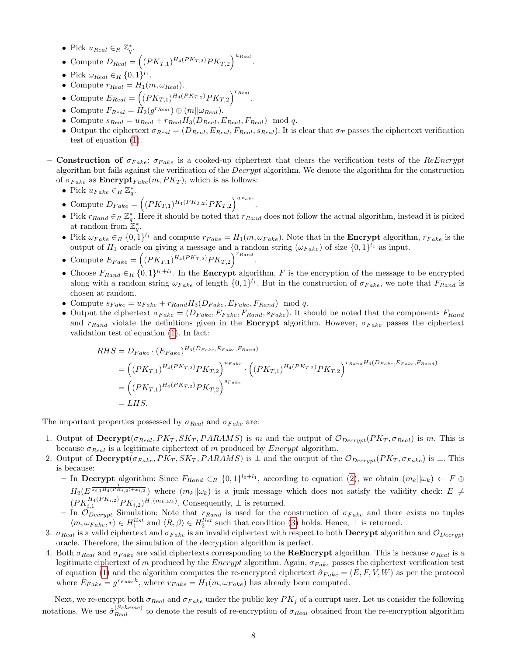- Pick  $u_{Real} \in_R \mathbb{Z}_q^*$ .
- Compute  $D_{Real} = ((PK_{T,1})^{H_4(PK_{T,2})}PK_{T,2})^{u_{Real}}$ .
- Pick  $\omega_{Real} \in_R \{0,1\}^{l_1}$ .
- Compute  $r_{Real} = H_1(m, \omega_{Real})$ .
- Compute  $E_{Real} = ((PK_{T,1})^{H_4(PK_{T,2})}PK_{T,2})^{r_{Real}}$ .
- Compute  $F_{Real} = \hat{H}_2(g^{r_{Real}}) \oplus (m||\omega_{Real}).$
- Compute  $s_{Real} = u_{Real} + r_{Real}H_3(D_{Real}, E_{Real}, F_{Real}) \mod q.$
- Output the ciphertext  $\sigma_{Real} = (D_{Real}, E_{Real}, F_{Real}, s_{Real})$ . It is clear that  $\sigma_{T}$  passes the ciphertext verification test of equation [\(1\)](#page-5-0).
- Construction of  $\sigma_{Fake}$ :  $\sigma_{Fake}$  is a cooked-up ciphertext that clears the verification tests of the ReEncrypt algorithm but fails against the verification of the Decrypt algorithm. We denote the algorithm for the construction of  $\sigma_{Fake}$  as  $\text{Encrypt}_{Fake}(m, PK_T)$ , which is as follows:
	- Pick  $u_{Fake} \in_R \mathbb{Z}_q^*$ .
	- Compute  $D_{Fake} = ((PK_{T,1})^{H_4(PK_{T,2})}PK_{T,2})^{u_{Fake}}$ .
	- Pick  $r_{Rand} \in_R \mathbb{Z}_q^*$ . Here it should be noted that  $r_{Rand}$  does not follow the actual algorithm, instead it is picked at random from  $\mathbb{Z}_q^*$ .
	- Pick  $\omega_{Fake} \in_R \{0,1\}^{l_1}$  and compute  $r_{Fake} = H_1(m, \omega_{Fake})$ . Note that in the **Encrypt** algorithm,  $r_{Fake}$  is the output of  $H_1$  oracle on giving a message and a random string  $(\omega_{Fake})$  of size  $\{0,1\}^{l_1}$  as input.

.

- Compute  $E_{Fake} = \left( \left( PK_{T,1} \right) H_4(PK_{T,2}) P K_{T,2} \right)$ <sup>r Rand</sup>
- Choose  $F_{Rand} \in_R \{0,1\}^{l_0+l_1}$ . In the **Encrypt** algorithm, F is the encryption of the message to be encrypted along with a random string  $\omega_{Fake}$  of length  $\{0,1\}^{l_1}$ . But in the construction of  $\sigma_{Fake}$ , we note that  $F_{Rand}$  is chosen at random.
- Compute  $s_{Fake} = u_{Fake} + r_{Rand}H_3(D_{Fake}, E_{Fake}, F_{Rand}) \mod q.$
- Output the ciphertext  $\sigma_{Fake} = (D_{Fake}, E_{Fake}, F_{Rand}, s_{Fake})$ . It should be noted that the components  $F_{Rand}$ and  $r_{Rand}$  violate the definitions given in the **Encrypt** algorithm. However,  $\sigma_{Fake}$  passes the ciphertext validation test of equation [\(1\)](#page-5-0). In fact:

$$
RHS = D_{Fake} \cdot (E_{Fake})^{H_3(D_{Fake}, E_{Fake}, F_{Rand})}
$$
  
= 
$$
((PK_{T,1})^{H_4(PK_{T,2})}PK_{T,2})^{u_{Fake}} \cdot ((PK_{T,1})^{H_4(PK_{T,2})}PK_{T,2})^{r_{Rand}H_3(D_{Fake}, E_{Fake}, F_{Rand})}
$$
  
= 
$$
((PK_{T,1})^{H_4(PK_{T,2})}PK_{T,2})^{s_{Fake}}
$$
  
= LHS.

The important properties possessed by  $\sigma_{Real}$  and  $\sigma_{Fake}$  are:

- 1. Output of  $\text{Decrypt}(\sigma_{Real}, PK_T, SK_T, PARAMS)$  is m and the output of  $\mathcal{O}_{Decrypt}(PK_T, \sigma_{Real})$  is m. This is because  $\sigma_{Real}$  is a legitimate ciphertext of m produced by *Encrypt* algorithm.
- 2. Output of  $\textbf{Decrypt}(\sigma_{Fake}, PK_T, SK_T, PARAMS)$  is  $\perp$  and the output of the  $\mathcal{O}_{Decrypt}(PK_T, \sigma_{Fake})$  is  $\perp$ . This is because:
	- In Decrypt algorithm: Since  $F_{Rand}$  ∈<sub>R</sub> {0, 1}<sup>*l*<sub>0</sub>+*l*<sub>1</sub></sup>, according to equation [\(2\)](#page-6-0), we obtain  $(m_k||\omega_k)$  ←  $F \oplus$  $H_2(E^{\frac{1}{x_{i,1}H_4(F_{K_{i,2}})+x_{i,2}}})$  where  $(m_k||\omega_k)$  is a junk message which does not satisfy the validity check:  $E \neq$  $(PK_{i,1}^{H_4(PK_{i,2})}PK_{i,2})^{H_1(m_k,\omega_k)}$ . Consequently,  $\perp$  is returned.
	- In  $\mathcal{O}_{Decrypt}$  Simulation: Note that  $r_{Rand}$  is used for the construction of  $\sigma_{Fake}$  and there exists no tuples  $\langle m, \omega_{Fake}, r \rangle \in H_1^{list}$  and  $\langle R, \beta \rangle \in H_2^{list}$  such that condition [\(3\)](#page-6-1) holds. Hence,  $\bot$  is returned.
- 3.  $\sigma_{Real}$  is a valid ciphertext and  $\sigma_{Fake}$  is an invalid ciphertext with respect to both Decrypt algorithm and  $\mathcal{O}_{Decrypt}$ oracle. Therefore, the simulation of the decryption algorithm is perfect.
- 4. Both  $\sigma_{Real}$  and  $\sigma_{Fake}$  are valid ciphertexts corresponding to the **ReEncrypt** algorithm. This is because  $\sigma_{Real}$  is a legitimate ciphertext of m produced by the Encrypt algorithm. Again,  $\sigma_{Fake}$  passes the ciphertext verification test of equation [\(1\)](#page-5-0) and the algorithm computes the re-encrypted ciphertext  $\hat{\sigma}_{Fake} = (E, F, V, W)$  as per the protocol where  $\hat{E}_{Fake} = g^{r_{Fake}h}$ , where  $r_{Fake} = H_1(m, \omega_{Fake})$  has already been computed.

Next, we re-encrypt both  $\sigma_{Real}$  and  $\sigma_{Fake}$  under the public key  $PK_j$  of a corrupt user. Let us consider the following notations. We use  $\hat{\sigma}_{Real}^{(Scheme)}$  to denote the result of re-encryption of  $\sigma_{Real}$  obtained from the re-encryption algorithm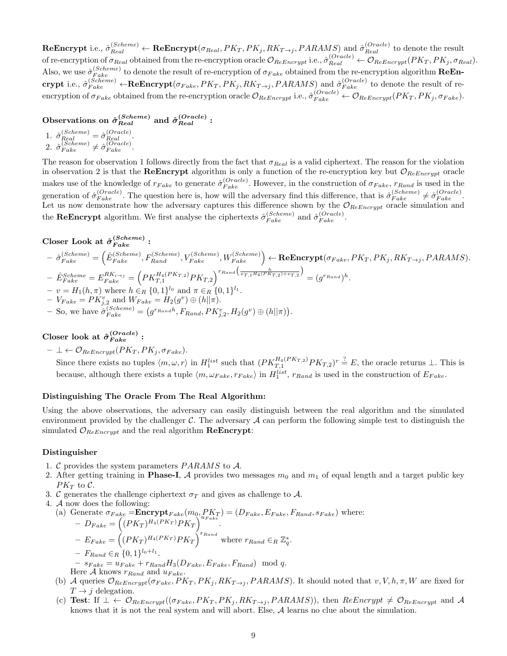$\textbf{ReEnergy i.e.,}~\hat{\sigma}^{(Scheme)}_{Real} \leftarrow \textbf{ReEnergypt}(\sigma_{Real},PK_T,PK_j,RK_{T\rightarrow j},PARAMS)~\text{and}~\hat{\sigma}^{(Oracle)}_{Real}~$  to denote the result of re-encryption of  $\sigma_{Real}$  obtained from the re-encryption oracle  $\mathcal{O}_{ReEncrypt}$  i.e.,  $\hat{\sigma}_{Real}^{(Oracle)} \leftarrow \mathcal{O}_{ReEncrypt}(PK_T, PK_j, \sigma_{Real})$ . Also, we use  $\hat{\sigma}_{Fake}^{(Scheme)}$  to denote the result of re-encryption of  $\sigma_{Fake}$  obtained from the re-encryption algorithm **ReEn**crypt i.e.,  $\hat{\sigma}_{Fake}^{(Scheme)} \leftarrow$ **ReEncrypt** $(\sigma_{Fake}, PK_T, PK_j, RK_{T\rightarrow j}, PARAMS)$  and  $\hat{\sigma}_{Fake}^{(Oracle)}$  to denote the result of reencryption of  $\sigma_{Fake}$  obtained from the re-encryption oracle  $\mathcal{O}_{ReEncrypt}$  i.e.,  $\hat{\sigma}_{Fake}^{(Oracle)} \leftarrow \mathcal{O}_{ReEncrypt}(PK_T, PK_j, \sigma_{Fake})$ .

# $\text{Observations on }\hat{\sigma}_{Real}^{(Scheme)} \text{ and }\hat{\sigma}_{Real}^{(Oracle)}:$

- 1.  $\hat{\sigma}_{Real}^{(Scheme)} = \hat{\sigma}_{Real}^{(Oracle)}$ .
- 2.  $\hat{\sigma}_{Fake}^{(Scheme)} \neq \hat{\sigma}_{Fake}^{(Oracle)}$ .

The reason for observation 1 follows directly from the fact that  $\sigma_{Real}$  is a valid ciphertext. The reason for the violation in observation 2 is that the ReEncrypt algorithm is only a function of the re-encryption key but  $\mathcal{O}_{ReEncrypt}$  oracle makes use of the knowledge of  $r_{Fake}$  to generate  $\hat{\sigma}_{Fake}^{(Oracle)}$ . However, in the construction of  $\sigma_{Fake}$ ,  $r_{Rand}$  is used in the generation of  $\hat{\sigma}_{Fake}^{(Oracle)}$ . The question here is, how will the adversary find this difference, that is  $\hat{\sigma}_{Fake}^{(Scheme)} \neq \hat{\sigma}_{Fake}^{(Oracle)}$ . Let us now demonstrate how the adversary captures this difference shown by the  $\mathcal{O}_{Ref{merypt}}$  oracle simulation and the **ReEncrypt** algorithm. We first analyse the ciphertexts  $\hat{\sigma}_{Fake}^{(Scheme)}$  and  $\hat{\sigma}_{Fake}^{(Oracle)}$ .

# $\text{Closer Look at}\ \hat{\sigma}_{Fake}^{(Scheme)}:$

$$
\hat{\sigma}_{Fake}^{(Scheme)} = (\hat{E}_{Fake}^{(Scheme)}, F_{Rand}^{(Scheme)}, V_{Fake}^{(Scheme)}, W_{Fake}^{(Scheme)}) \leftarrow \textbf{ReEnergy}_\textbf{0}(\sigma_{Fake}, PK_T, PK_j, RK_{T\rightarrow j}, PARAMS). \n- \hat{E}_{Fake}^{Scheme} = E_{Fake}^{RK_{i\rightarrow j}} = (PK_{T,1}^{H_4(PK_{T,2})}PK_{T,2})^{T_{Rand}\left(\frac{h}{x_{T,1}H_4(PK_{T,2})+x_{T,2}}\right)} = (g^{r_{Rand}})^h.
$$

$$
- v = H_1(h, \pi)
$$
 where  $h \in_R \{0, 1\}^{l_0}$  and  $\pi \in_R \{0, 1\}^{l_1}$ .

- $-V_{Fake} = PK_{j,2}^v$  and  $W_{Fake} = H_2(g^v) \oplus (h||\pi)$ .
- So, we have  $\hat{\sigma}_{Fake}^{(Scheme)} = (g^{r_{Rand}h}, F_{Rand}, PK_{j,2}^v, H_2(g^v) \oplus (h||\pi)).$

# Closer look at  $\hat{\sigma}_{Fake}^{(Oracle)}:$

 $- \perp \leftarrow \mathcal{O}_{ReEncryption} (PK_T, PK_j, \sigma_{Fake}).$ 

Since there exists no tuples  $\langle m, \omega, r \rangle$  in  $H_1^{list}$  such that  $(PK_{T,1}^{H_4(PK_{T,2})} P K_{T,2})^r \stackrel{?}{=} E$ , the oracle returns  $\perp$ . This is because, although there exists a tuple  $\langle m, \omega_{Fake}, r_{Fake} \rangle$  in  $H_1^{list}$ ,  $r_{Rand}$  is used in the construction of  $E_{Fake}$ .

## Distinguishing The Oracle From The Real Algorithm:

Using the above observations, the adversary can easily distinguish between the real algorithm and the simulated environment provided by the challenger  $\mathcal C$ . The adversary  $\mathcal A$  can perform the following simple test to distinguish the simulated  $\mathcal{O}_{Re\,Energy}$  and the real algorithm **ReEncrypt**:

## Distinguisher

- 1. C provides the system parameters  $PARAMS$  to A.
- 2. After getting training in **Phase-I**, A provides two messages  $m_0$  and  $m_1$  of equal length and a target public key  $PK_T$  to  $\mathcal{C}$ .
- 3. C generates the challenge ciphertext  $\sigma_T$  and gives as challenge to A.
- 4. A now does the following:

(a) Generate 
$$
\sigma_{Fake} = \text{Encrypt}_{Fake}(m_0, PK_T) = (D_{Fake}, E_{Fake}, F_{Rand}, s_{Fake})
$$
 where:  
\n
$$
- D_{Fake} = ((PK_T)^{H_4(PKr)} PK_T)^{u_{Fake}}.
$$
\n
$$
- E_{Fake} = ((PK_T)^{H_4(PKr)} PK_T)^{r_{Rand}}
$$
 where  $r_{Rand} \in_R \mathbb{Z}_q^*$ .  
\n
$$
- F_{Rand} \in_R \{0, 1\}^{l_0 + l_1}.
$$
\n
$$
- s_{Fake} = u_{Fake} + r_{Rand} H_3(D_{Fake}, E_{Fake}, F_{Rand}) \mod q.
$$
\nHere *A* knows  $r_{Rand}$  and  $u_{Fake}$ .

- (b) A queries  $\mathcal{O}_{ReEncrypt}(\sigma_{Fake}, PK_T, PK_j, RK_{T\to j},PARAMS)$ . It should noted that  $v, V, h, \pi, W$  are fixed for  $T \rightarrow j$  delegation.
- (c) Test: If  $\perp \leftarrow \mathcal{O}_{ReEncrupt}((\sigma_{Fake}, PK_T, PK_s, RK_{T\rightarrow i}, PARAMS))$ , then  $ReEncrypt \neq \mathcal{O}_{ReEncrupt}$  and A knows that it is not the real system and will abort. Else, A learns no clue about the simulation.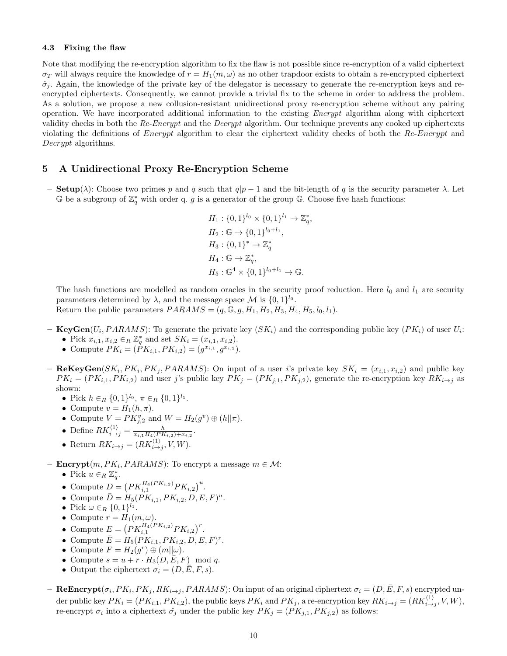### 4.3 Fixing the flaw

Note that modifying the re-encryption algorithm to fix the flaw is not possible since re-encryption of a valid ciphertext  $\sigma_T$  will always require the knowledge of  $r = H_1(m,\omega)$  as no other trapdoor exists to obtain a re-encrypted ciphertext  $\hat{\sigma}_i$ . Again, the knowledge of the private key of the delegator is necessary to generate the re-encryption keys and reencrypted ciphertexts. Consequently, we cannot provide a trivial fix to the scheme in order to address the problem. As a solution, we propose a new collusion-resistant unidirectional proxy re-encryption scheme without any pairing operation. We have incorporated additional information to the existing Encrypt algorithm along with ciphertext validity checks in both the Re-Encrypt and the Decrypt algorithm. Our technique prevents any cooked up ciphertexts violating the definitions of *Encrypt* algorithm to clear the ciphertext validity checks of both the Re-Encrypt and Decrypt algorithms.

## 5 A Unidirectional Proxy Re-Encryption Scheme

– Setup( $\lambda$ ): Choose two primes p and q such that  $q|p-1$  and the bit-length of q is the security parameter  $\lambda$ . Let G be a subgroup of  $\mathbb{Z}_q^*$  with order q. g is a generator of the group G. Choose five hash functions:

$$
H_1: \{0,1\}^{l_0} \times \{0,1\}^{l_1} \to \mathbb{Z}_q^*,
$$
  
\n
$$
H_2: \mathbb{G} \to \{0,1\}^{l_0+l_1},
$$
  
\n
$$
H_3: \{0,1\}^* \to \mathbb{Z}_q^*
$$
  
\n
$$
H_4: \mathbb{G} \to \mathbb{Z}_q^*,
$$
  
\n
$$
H_5: \mathbb{G}^4 \times \{0,1\}^{l_0+l_1} \to \mathbb{G}.
$$

The hash functions are modelled as random oracles in the security proof reduction. Here  $l_0$  and  $l_1$  are security parameters determined by  $\lambda$ , and the message space M is  $\{0,1\}^{l_0}$ .

Return the public parameters  $PARAMS = (q, \mathbb{G}, g, H_1, H_2, H_3, H_4, H_5, l_0, l_1).$ 

- KeyGen( $U_i$ ,  $PARAMS$ ): To generate the private key  $(SK_i)$  and the corresponding public key  $(PK_i)$  of user  $U_i$ :
	- Pick  $x_{i,1}, x_{i,2} \in_R \mathbb{Z}_q^*$  and set  $SK_i = (x_{i,1}, x_{i,2}).$
	- Compute  $PK_i = (\hat{P}K_{i,1}, PK_{i,2}) = (g^{x_{i,1}}, g^{x_{i,2}}).$
- ReKeyGen( $SK_i, PK_i, PK_j, PARAMS$ ): On input of a user i's private key  $SK_i = (x_{i,1}, x_{i,2})$  and public key  $PK_i = (PK_{i,1}, PK_{i,2})$  and user j's public key  $PK_j = (PK_{j,1}, PK_{j,2})$ , generate the re-encryption key  $RK_{i\rightarrow j}$  as shown:
	- Pick  $h \in_R \{0,1\}^{l_0}, \pi \in_R \{0,1\}^{l_1}.$
	- Compute  $v = H_1(h, \pi)$ .
	- Compute  $V = PK_{j,2}^v$  and  $W = H_2(g^v) \oplus (h||\pi)$ .
	- Define  $RK_{i \to j}^{\langle 1 \rangle} = \frac{h}{x_{i,1}H_4(PK_{i,2}) + x_{i,2}}$ .
	- Return  $RK_{i\rightarrow j} = (RK_{i\rightarrow j}^{\langle 1 \rangle}, V, W)$ .
- **Encrypt** $(m, PK_i, PARAMS)$ : To encrypt a message  $m \in \mathcal{M}$ :
	- Pick  $u \in_R \mathbb{Z}_q^*$ .
	- Compute  $D = (PK_{i,1}^{H_4(PK_{i,2})}PK_{i,2})^u$ .
	- Compute  $\bar{D} = H_5(PK_{i,1}, PK_{i,2}, D, E, F)^u$ .
	- Pick  $\omega \in_R \{0,1\}^{l_1}$ .
	- Compute  $r = H_1(m, \omega)$ .
	- Compute  $E = (PK_{i,1}^{H_4(PK_{i,2})}PK_{i,2})^r$ .
	- Compute  $\bar{E} = H_5(PK_{i,1}, PK_{i,2}, D, E, F)^r$ .
	- Compute  $F = H_2(g^r) \oplus (m||\omega)$ .
	- Compute  $s = u + r \cdot H_3(D, \bar{E}, F) \mod q$ .
	- Output the ciphertext  $\sigma_i = (D, \bar{E}, F, s)$ .
- **ReEncrypt** $(\sigma_i, PK_i, PK_j, RK_{i\to j}, PARAMS)$ : On input of an original ciphertext  $\sigma_i = (D, \bar{E}, F, s)$  encrypted under public key  $PK_i = (PK_{i,1}, PK_{i,2})$ , the public keys  $PK_i$  and  $PK_j$ , a re-encryption key  $RK_{i\rightarrow j} = (RK_{i\rightarrow j}^{(1)}, V, W)$ , re-encrypt  $\sigma_i$  into a ciphertext  $\hat{\sigma}_j$  under the public key  $PK_j = (PK_{j,1}, PK_{j,2})$  as follows: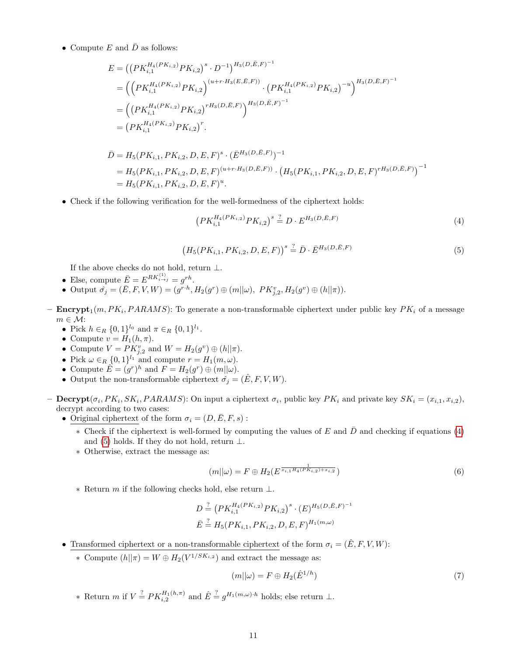• Compute E and  $\overline{D}$  as follows:

$$
E = ((PK_{i,1}^{H_4(PK_{i,2})}PK_{i,2})^s \cdot D^{-1})^{H_3(D,\bar{E},F)^{-1}}
$$
  
\n
$$
= ((PK_{i,1}^{H_4(PK_{i,2})}PK_{i,2})^{(u+r \cdot H_3(E,\bar{E},F))} \cdot (PK_{i,1}^{H_4(PK_{i,2})}PK_{i,2})^{-u})^{H_3(D,\bar{E},F)^{-1}}
$$
  
\n
$$
= ((PK_{i,1}^{H_4(PK_{i,2})}PK_{i,2})^{rH_3(D,\bar{E},F)})^{H_3(D,\bar{E},F)^{-1}}
$$
  
\n
$$
= (PK_{i,1}^{H_4(PK_{i,2})}PK_{i,2})^r.
$$

$$
\bar{D} = H_5(PK_{i,1}, PK_{i,2}, D, E, F)^s \cdot (\bar{E}^{H_3(D, \bar{E}, F)})^{-1}
$$
  
=  $H_5(PK_{i,1}, PK_{i,2}, D, E, F)^{(u+r \cdot H_3(D, \bar{E}, F))} \cdot (H_5(PK_{i,1}, PK_{i,2}, D, E, F)^{rH_3(D, \bar{E}, F)})^{-1}$   
=  $H_5(PK_{i,1}, PK_{i,2}, D, E, F)^u$ .

• Check if the following verification for the well-formedness of the ciphertext holds:

<span id="page-10-1"></span><span id="page-10-0"></span>
$$
\left(PK_{i,1}^{H_4(PK_{i,2})}PK_{i,2}\right)^s \stackrel{?}{=} D \cdot E^{H_3(D,\bar{E},F)} \tag{4}
$$

$$
(H_5(PK_{i,1}, PK_{i,2}, D, E, F))^s \stackrel{?}{=} \bar{D} \cdot \bar{E}^{H_3(D, \bar{E}, F)} \tag{5}
$$

If the above checks do not hold, return  $\bot$ .

- Else, compute  $\bar{E} = E^{RK_{i \to j}^{(1)}} = g^{rh}$ .
- Output  $\sigma_j = (\bar{E}, F, V, W) = (g^{r \cdot h}, H_2(g^r) \oplus (m||\omega), P K_{j,2}^v, H_2(g^v) \oplus (h||\pi)).$
- Encrypt<sub>1</sub> $(m, PK_i, PARAMS)$ : To generate a non-transformable ciphertext under public key  $PK_i$  of a message  $m \in \mathcal{M}$ :
	- Pick  $h \in_R \{0,1\}^{l_0}$  and  $\pi \in_R \{0,1\}^{l_1}$ .
	- Compute  $v = H_1(h, \pi)$ .
	- Compute  $V = PK_{j,2}^v$  and  $W = H_2(g^v) \oplus (h||\pi)$ .
	- Pick  $\omega \in_R \{0,1\}^{l_1}$  and compute  $r = H_1(m, \omega)$ .
	- Compute  $\hat{E} = (g^r)^h$  and  $F = H_2(g^r) \oplus (m||\omega)$ .
	- Output the non-transformable ciphertext  $\hat{\sigma}_j = (\hat{E}, F, V, W)$ .
- Decrypt $(\sigma_i, PK_i, SK_i, PARAMS)$ : On input a ciphertext  $\sigma_i$ , public key  $PK_i$  and private key  $SK_i = (x_{i,1}, x_{i,2})$ , decrypt according to two cases:
	- Original ciphertext of the form  $\sigma_i = (D, \bar{E}, F, s)$ :
		- ∗ Check if the ciphertext is well-formed by computing the values of E and D and checking if equations [\(4\)](#page-10-0) and [\(5\)](#page-10-1) holds. If they do not hold, return  $\perp$ .
		- ∗ Otherwise, extract the message as:

<span id="page-10-2"></span>
$$
(m||\omega) = F \oplus H_2(E^{\frac{1}{x_{i,1}H_4(FK_{i,2}) + x_{i,2}}})
$$
\n
$$
(6)
$$

∗ Return m if the following checks hold, else return ⊥.

$$
D \stackrel{?}{=} \left( PK_{i,1}^{H_4(PK_{i,2})} PK_{i,2} \right)^s \cdot (E)^{H_5(D,\bar{E},F)^{-1}}
$$
  

$$
\bar{E} \stackrel{?}{=} H_5(PK_{i,1}, PK_{i,2}, D, E, F)^{H_1(m,\omega)}
$$

- Transformed ciphertext or a non-transformable ciphertext of the form  $\sigma_i = (\hat{E}, F, V, W)$ :
	- \* Compute  $(h||\pi) = W ⊕ H_2(V^{1/SK_{i,2}})$  and extract the message as:

<span id="page-10-3"></span>
$$
(m||\omega) = F \oplus H_2(\hat{E}^{1/h})
$$
\n<sup>(7)</sup>

∗ Return *m* if  $V = P K_{i,2}^{H_1(h,\pi)}$  and  $\hat{E} = g^{H_1(m,\omega)\cdot h}$  holds; else return ⊥.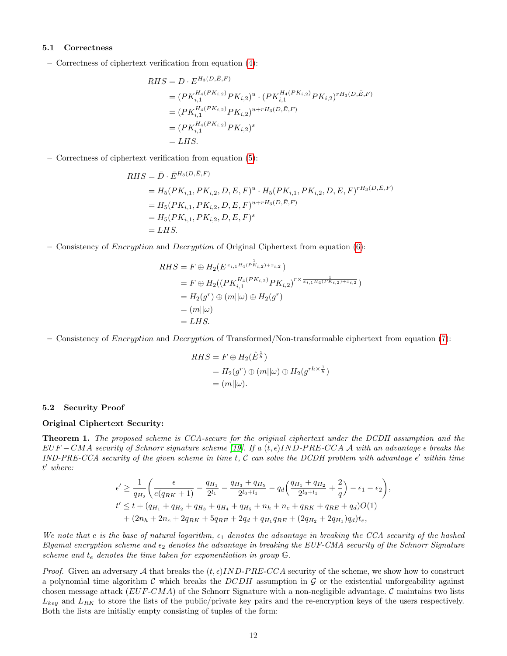#### 5.1 Correctness

– Correctness of ciphertext verification from equation [\(4\)](#page-10-0):

$$
RHS = D \cdot E^{H_3(D,\bar{E},F)}
$$
  
=  $(PK_{i,1}^{H_4(PK_{i,2})}PK_{i,2})^u \cdot (PK_{i,1}^{H_4(PK_{i,2})}PK_{i,2})^{rH_3(D,\bar{E},F)}$   
=  $(PK_{i,1}^{H_4(PK_{i,2})}PK_{i,2})^{u+rH_3(D,\bar{E},F)}$   
=  $(PK_{i,1}^{H_4(PK_{i,2})}PK_{i,2})^s$   
= LHS.

– Correctness of ciphertext verification from equation [\(5\)](#page-10-1):

$$
RHS = \bar{D} \cdot \bar{E}^{H_3(D,\bar{E},F)}
$$
  
=  $H_5(PK_{i,1}, PK_{i,2}, D, E, F)^u \cdot H_5(PK_{i,1}, PK_{i,2}, D, E, F)^{rH_3(D,\bar{E},F)}$   
=  $H_5(PK_{i,1}, PK_{i,2}, D, E, F)^{u+rH_3(D,\bar{E},F)}$   
=  $H_5(PK_{i,1}, PK_{i,2}, D, E, F)^s$   
= LHS.

– Consistency of *Encryption* and *Decryption* of Original Ciphertext from equation  $(6)$ :

$$
RHS = F \oplus H_2(E^{\frac{1}{x_{i,1}H_4(PK_{i,2}) + x_{i,2}}})
$$
  
=  $F \oplus H_2((PK_{i,1}^{H_4(PK_{i,2})}PK_{i,2})^{r \times \frac{1}{x_{i,1}H_4(PK_{i,2}) + x_{i,2}}})$   
=  $H_2(g^r) \oplus (m||\omega) \oplus H_2(g^r)$   
=  $(m||\omega)$   
= LHS.

– Consistency of *Encryption* and *Decryption* of Transformed/Non-transformable ciphertext from equation [\(7\)](#page-10-3):

$$
RHS = F \oplus H_2(\hat{E}^{\frac{1}{h}})
$$
  
=  $H_2(g^r) \oplus (m||\omega) \oplus H_2(g^{rh \times \frac{1}{h}})$   
=  $(m||\omega).$ 

#### 5.2 Security Proof

### <span id="page-11-0"></span>Original Ciphertext Security:

**Theorem 1.** The proposed scheme is CCA-secure for the original ciphertext under the DCDH assumption and the  $EUF-CMA$  security of Schnorr signature scheme [\[19\]](#page-20-15). If a  $(t, \epsilon)IND-PRE-CCA$  A with an advantage  $\epsilon$  breaks the IND-PRE-CCA security of the given scheme in time t,  $C$  can solve the DCDH problem with advantage  $\epsilon'$  within time  $t'$  where:

$$
\epsilon' \ge \frac{1}{q_{H_2}} \left( \frac{\epsilon}{e(q_{RK}+1)} - \frac{q_{H_1}}{2^{l_1}} - \frac{q_{H_3}+q_{H_5}}{2^{l_0+l_1}} - q_d \left( \frac{q_{H_1}+q_{H_2}}{2^{l_0+l_1}} + \frac{2}{q} \right) - \epsilon_1 - \epsilon_2 \right),
$$
  

$$
t' \le t + (q_{H_1} + q_{H_2} + q_{H_3} + q_{H_4} + q_{H_5} + n_h + n_c + q_{RK} + q_{RE} + q_d)O(1)
$$
  

$$
+ (2n_h + 2n_c + 2q_{RK} + 5q_{RE} + 2q_d + q_{H_1}q_{RE} + (2q_{H_2} + 2q_{H_1})q_d)t_e,
$$

We note that e is the base of natural logarithm,  $\epsilon_1$  denotes the advantage in breaking the CCA security of the hashed Elgamal encryption scheme and  $\epsilon_2$  denotes the advantage in breaking the EUF-CMA security of the Schnorr Signature scheme and  $t_e$  denotes the time taken for exponentiation in group  $\mathbb G$ .

*Proof.* Given an adversary A that breaks the  $(t, \epsilon)$ *IND-PRE-CCA* security of the scheme, we show how to construct a polynomial time algorithm C which breaks the DCDH assumption in  $\mathcal G$  or the existential unforgeability against chosen message attack ( $EUF-CMA$ ) of the Schnorr Signature with a non-negligible advantage.  $\mathcal C$  maintains two lists  $L_{key}$  and  $L_{RK}$  to store the lists of the public/private key pairs and the re-encryption keys of the users respectively. Both the lists are initially empty consisting of tuples of the form: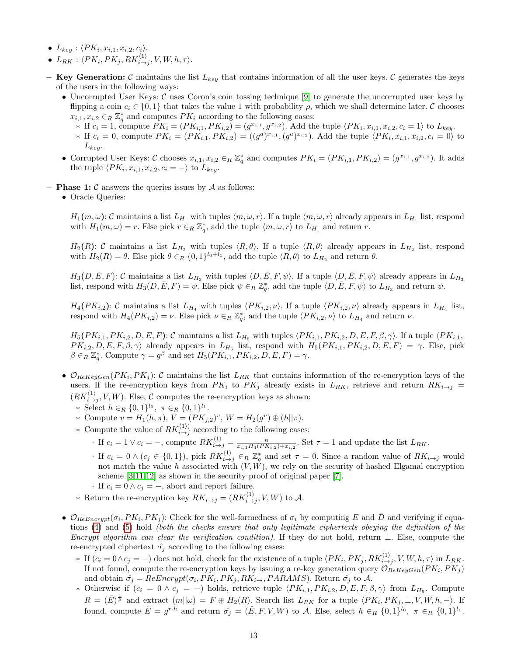- $L_{key}: \langle PK_i, x_{i,1}, x_{i,2}, c_i \rangle$ .
- $L_{RK}$  :  $\langle PK_i, PK_j, RK_{i\rightarrow j}^{\langle 1 \rangle}, V, W, h, \tau \rangle$ .
- Key Generation: C maintains the list  $L_{key}$  that contains information of all the user keys. C generates the keys of the users in the following ways:
	- Uncorrupted User Keys:  $\mathcal C$  uses Coron's coin tossing technique  $[9]$  to generate the uncorrupted user keys by flipping a coin  $c_i \in \{0,1\}$  that takes the value 1 with probability  $\rho$ , which we shall determine later. C chooses  $x_{i,1}, x_{i,2} \in_R \mathbb{Z}_q^*$  and computes  $PK_i$  according to the following cases:
		- \* If  $c_i = 1$ , compute  $PK_i = (PK_{i,1}, PK_{i,2}) = (g^{x_{i,1}}, g^{x_{i,2}})$ . Add the tuple  $\langle PK_i, x_{i,1}, x_{i,2}, c_i = 1 \rangle$  to  $L_{key}$ .
		- \* If  $c_i = 0$ , compute  $PK_i = (PK_{i,1}, PK_{i,2}) = ((g^a)^{x_{i,1}}, (g^a)^{x_{i,2}})$ . Add the tuple  $\langle PK_i, x_{i,1}, x_{i,2}, c_i = 0 \rangle$  to  $L_{key}$ .
	- Corrupted User Keys: C chooses  $x_{i,1}, x_{i,2} \in_R \mathbb{Z}_q^*$  and computes  $PK_i = (PK_{i,1}, PK_{i,2}) = (g^{x_{i,1}}, g^{x_{i,2}})$ . It adds the tuple  $\langle PK_i, x_{i,1}, x_{i,2}, c_i = -\rangle$  to  $L_{key}$ .
- $-$  **Phase 1:**  $\mathcal C$  answers the queries issues by  $\mathcal A$  as follows:
	- Oracle Queries:

 $H_1(m,\omega)$ : C maintains a list  $L_{H_1}$  with tuples  $\langle m, \omega, r \rangle$ . If a tuple  $\langle m, \omega, r \rangle$  already appears in  $L_{H_1}$  list, respond with  $H_1(m,\omega) = r$ . Else pick  $r \in_R \mathbb{Z}_q^*$ , add the tuple  $\langle m, \omega, r \rangle$  to  $L_{H_1}$  and return r.

 $H_2(R)$ : C maintains a list  $L_{H_2}$  with tuples  $\langle R, \theta \rangle$ . If a tuple  $\langle R, \theta \rangle$  already appears in  $L_{H_2}$  list, respond with  $H_2(R) = \theta$ . Else pick  $\theta \in_R \{0,1\}^{l_0+l_1}$ , add the tuple  $\langle R, \theta \rangle$  to  $L_{H_2}$  and return  $\theta$ .

 $H_3(D, E, F)$ : C maintains a list  $L_{H_3}$  with tuples  $\langle D, \overline{E}, F, \psi \rangle$ . If a tuple  $\langle D, \overline{E}, F, \psi \rangle$  already appears in  $L_{H_3}$ list, respond with  $H_3(D, \bar{E}, F) = \psi$ . Else pick  $\psi \in_R \mathbb{Z}_q^*$ , add the tuple  $\langle D, \bar{E}, F, \psi \rangle$  to  $L_{H_3}$  and return  $\psi$ .

 $H_4(PK_{i,2})$ : C maintains a list  $L_{H_4}$  with tuples  $\langle PK_{i,2}, \nu \rangle$ . If a tuple  $\langle PK_{i,2}, \nu \rangle$  already appears in  $L_{H_4}$  list, respond with  $H_4(PK_{i,2}) = \nu$ . Else pick  $\nu \in_R \mathbb{Z}_q^*$ , add the tuple  $\langle PK_{i,2}, \nu \rangle$  to  $L_{H_4}$  and return  $\nu$ .

 $H_5(PK_{i,1}, PK_{i,2}, D, E, F):$  C maintains a list  $L_{H_5}$  with tuples  $\langle PK_{i,1}, PK_{i,2}, D, E, F, \beta, \gamma \rangle$ . If a tuple  $\langle PK_{i,1}, F, F, \beta, \gamma \rangle$ .  $PK_{i,2}, D, E, F, \beta, \gamma$  already appears in  $L_{H_5}$  list, respond with  $H_5(PK_{i,1}, PK_{i,2}, D, E, F) = \gamma$ . Else, pick  $\beta \in R \mathbb{Z}_q^*$ . Compute  $\gamma = g^{\beta}$  and set  $H_5(PK_{i,1}, PK_{i,2}, D, E, F) = \gamma$ .

- $\mathcal{O}_{ReKeyGen}(PK_i, PK_j):$  C maintains the list  $L_{RK}$  that contains information of the re-encryption keys of the users. If the re-encryption keys from  $PK_i$  to  $PK_j$  already exists in  $L_{RK}$ , retrieve and return  $RK_{i\rightarrow j}$  =  $(RK_{i\to j}^{\langle 1\rangle},V,W)$ . Else, C computes the re-encryption keys as shown:
	- \* Select  $h \in_R \{0,1\}^{l_0}, \pi \in_R \{0,1\}^{l_1}.$
	- \* Compute  $v = H_1(h, \pi), V = (PK_{j,2})^v, W = H_2(g^v) \oplus (h||\pi).$
	- ∗ Compute the value of  $RK_{i\to j}^{(1)}$  according to the following cases:
		- $\cdot$  If  $c_i = 1 \vee c_i = -$ , compute  $RK_{i \to j}^{(1)} = \frac{h}{x_{i,1}H_4(PK_{i,2}) + x_{i,2}}$ . Set  $\tau = 1$  and update the list  $L_{RK}$ .
		- $\cdot$  If  $c_i = 0 \wedge (c_j \in \{0,1\})$ , pick  $RK_{i\to j}^{(1)} \in_R \mathbb{Z}_q^*$  and set  $\tau = 0$ . Since a random value of  $RK_{i\to j}$  would not match the value h associated with  $(V, W)$ , we rely on the security of hashed Elgamal encryption scheme [\[3,](#page-20-17)[11](#page-20-18)[,12\]](#page-20-19) as shown in the security proof of original paper [\[7\]](#page-20-14).
		- · If  $c_i = 0 \land c_j = −$ , abort and report failure.
	- ∗ Return the re-encryption key  $RK_{i\rightarrow j} = (RK_{i\rightarrow j}^{\langle 1 \rangle}, V, W)$  to A.
- $\mathcal{O}_{Re\,Energy}(\sigma_i, PK_i, PK_j)$ : Check for the well-formedness of  $\sigma_i$  by computing E and  $\bar{D}$  and verifying if equations [\(4\)](#page-10-0) and [\(5\)](#page-10-1) hold (both the checks ensure that only legitimate ciphertexts obeying the definition of the Encrypt algorithm can clear the verification condition). If they do not hold, return  $\perp$ . Else, compute the re-encrypted ciphertext  $\hat{\sigma}_j$  according to the following cases:
	- $*$  If  $(c_i = 0 \land c_j = -)$  does not hold, check for the existence of a tuple  $\langle PK_i, PK_j, RK_{i \to j}^{(1)}, V, W, h, \tau \rangle$  in  $L_{RK}$ . If not found, compute the re-encryption keys by issuing a re-key generation query  $\mathcal{O}_{ReKeyGen}(PK_i, PK_j)$ and obtain  $\hat{\sigma}_j = ReEnergy(\sigma_i, PK_i, PK_j, RK_{i\rightarrow}, PARAMS)$ . Return  $\hat{\sigma}_j$  to A.
	- $∗$  Otherwise if  $(c_i = 0 \wedge c_j = -)$  holds, retrieve tuple  $\langle PK_{i,1}, PK_{i,2}, D, E, F, \beta, \gamma \rangle$  from  $L_{H_5}$ . Compute  $R = (\bar{E})^{\frac{1}{\beta}}$  and extract  $(m||\omega) = F \oplus H_2(R)$ . Search list  $L_{RK}$  for a tuple  $\langle PK_i, PK_j, \perp, V, W, h, - \rangle$ . If found, compute  $\hat{E} = g^{r \cdot h}$  and return  $\hat{\sigma}_j = (\hat{E}, F, V, W)$  to A. Else, select  $h \in_R \{0, 1\}^{l_0}$ ,  $\pi \in_R \{0, 1\}^{l_1}$ .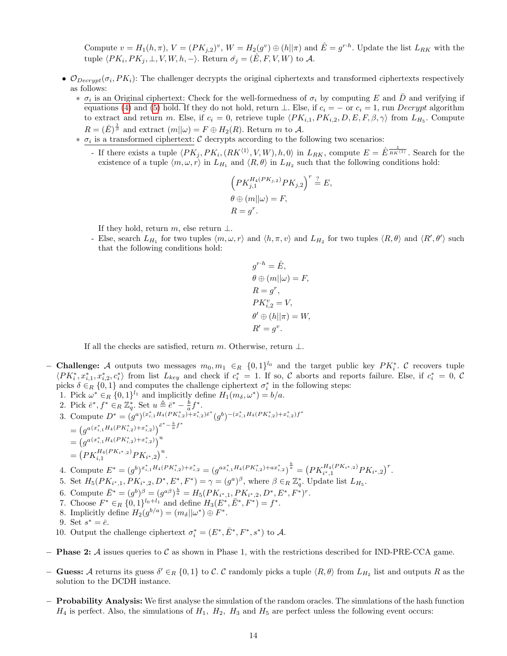Compute  $v = H_1(h, \pi)$ ,  $V = (PK_{j,2})^v$ ,  $W = H_2(g^v) \oplus (h||\pi)$  and  $\hat{E} = g^{r \cdot h}$ . Update the list  $L_{RK}$  with the tuple  $\langle PK_i, PK_j, \perp, V, W, h, -\rangle$ . Return  $\hat{\sigma}_j = (\hat{E}, F, V, W)$  to A.

- $\mathcal{O}_{Decrypt}(\sigma_i, PK_i)$ : The challenger decrypts the original ciphertexts and transformed ciphertexts respectively as follows:
	- $* \sigma_i$  is an Original ciphertext: Check for the well-formedness of  $\sigma_i$  by computing E and  $\bar{D}$  and verifying if equations [\(4\)](#page-10-0) and [\(5\)](#page-10-1) hold. If they do not hold, return  $\perp$ . Else, if  $c_i = -$  or  $c_i = 1$ , run Decrypt algorithm to extract and return m. Else, if  $c_i = 0$ , retrieve tuple  $\langle PK_{i,1}, PK_{i,2}, D, E, F, \beta, \gamma \rangle$  from  $L_{H_5}$ . Compute  $R = (\bar{E})^{\frac{1}{\beta}}$  and extract  $(m||\omega) = F \oplus H_2(R)$ . Return m to A.
	- $*$   $\sigma_i$  is a transformed ciphertext: C decrypts according to the following two scenarios:
		- If there exists a tuple  $\langle PK_j, PK_i, (RK^{\langle 1 \rangle}, V, W), h, 0 \rangle$  in  $L_{RK}$ , compute  $E = \hat{E} \frac{1}{RK^{\langle 1 \rangle}}$ . Search for the existence of a tuple  $\langle m, \omega, r \rangle$  in  $L_{H_1}$  and  $\langle R, \theta \rangle$  in  $L_{H_2}$  such that the following conditions hold:

$$
\left(PK_{j,1}^{H_4(PK_{j,2})}PK_{j,2}\right)^r \stackrel{?}{=} E,
$$
  

$$
\theta \oplus (m||\omega) = F,
$$
  

$$
R = g^r.
$$

If they hold, return  $m$ , else return  $\perp$ .

- Else, search  $L_{H_1}$  for two tuples  $\langle m, \omega, r \rangle$  and  $\langle h, \pi, v \rangle$  and  $L_{H_2}$  for two tuples  $\langle R, \theta \rangle$  and  $\langle R', \theta' \rangle$  such that the following conditions hold:

$$
\begin{split} g^{r\cdot h} &= \hat{E}, \\ \theta\oplus(m||\omega) &= F, \\ R &= g^r, \\ PK^v_{i,2} &= V, \\ \theta' \oplus(h||\pi) &= W, \\ R' &= g^v. \end{split}
$$

If all the checks are satisfied, return m. Otherwise, return  $\perp$ .

− Challenge: A outputs two messages  $m_0, m_1 \in_R \{0, 1\}^{l_0}$  and the target public key  $PK_i^*$ . C recovers tuple  $\langle PK_i^*, x_{i,1}^*, x_{i,2}^*, c_i^* \rangle$  from list  $L_{key}$  and check if  $c_i^* = 1$ . If so, C aborts and reports failure. Else, if  $c_i^* = 0$ , C picks  $\delta \in_R \{0,1\}$  and computes the challenge ciphertext  $\sigma_i^*$  in the following steps:

1. Pick  $\omega^* \in_R \{0,1\}^{l_1}$  and implicitly define  $H_1(m_\delta, \omega^*) = b/a$ .

- 2. Pick  $\bar{e}^*, f^* \in_R \mathbb{Z}_q^*$ . Set  $u \triangleq \bar{e}^* \frac{\dot{b}}{a} f^*$ . 3. Compute  $D^* = (g^a)^{(x_{i,1}^*H_4(PK_{i,2}^*)+x_{i,2}^*)\bar{\epsilon}^*}(g^b)^{-(x_{i,1}^*H_4(PK_{i,2}^*)+x_{i,2}^*)f^*}$  $=\big(g^{a(x^*_{i,1}H_4(PK^*_{i,2})+x^*_{i,2})}\big)^{\bar e^*-\frac{b}{a}f^*}$  $=\left(g^{a(x_{i,1}^*H_4(PK_{i,2}^*)+x_{i,2}^*)}\right)^u$  $= (PK_{i,1}^{H_4(PK_{i^*,2})}PK_{i^*,2})^u.$
- 4. Compute  $E^* = (g^b)^{x_{i,1}^* H_4(PK_{i,2}^*) + x_{i,2}^*} = (g^{ax_{i,1}^* H_4(PK_{i,2}^*) + ax_{i,2}^*})^{\frac{b}{a}} = (PK_{i^*,1}^{H_4(PK_{i^*,2})}PK_{i^*,2})^r$ .
- 5. Set  $H_5(PK_{i^*,1}, PK_{i^*,2}, D^*, E^*, F^*) = \gamma = (g^a)^{\beta}$ , where  $\beta \in_R \mathbb{Z}_q^*$ . Update list  $L_{H_5}$ .
- 6. Compute  $\bar{E}^* = (g^b)^{\beta} = (g^{a\beta})^{\frac{b}{a}} = H_5(PK_{i^*,1}, PK_{i^*,2}, D^*, E^*, F^*)^r$ .
- 7. Choose  $F^* \in_R \{0,1\}^{l_0+l_1}$  and define  $H_3(E^*, \overline{E}^*, F^*) = f^*$ .
- 8. Implicitly define  $H_2(g^{b/a}) = (m_\delta || \omega^*) \oplus F^*$ .

9. Set 
$$
s^* = \bar{e}
$$
.

- 10. Output the challenge ciphertext  $\sigma_i^* = (E^*, \bar{E}^*, F^*, s^*)$  to A.
- $-$  **Phase 2:** A issues queries to C as shown in Phase 1, with the restrictions described for IND-PRE-CCA game.
- − Guess: A returns its guess  $\delta' \in_R \{0,1\}$  to C. C randomly picks a tuple  $\langle R, \theta \rangle$  from  $L_{H_2}$  list and outputs R as the solution to the DCDH instance.
- − Probability Analysis: We first analyse the simulation of the random oracles. The simulations of the hash function  $H_4$  is perfect. Also, the simulations of  $H_1$ ,  $H_2$ ,  $H_3$  and  $H_5$  are perfect unless the following event occurs: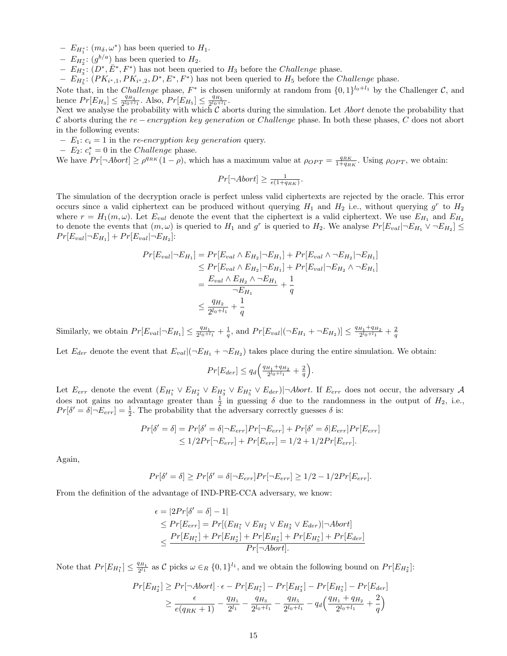$- E_{H_1^*}: (m_\delta, \omega^*)$  has been queried to  $H_1$ .

- $E_{H_2^*}$ :  $(g^{b/a})$  has been queried to  $H_2$ .
- $-E_{H_3^*}$ :  $(D^*, \bar{E}^*, F^*)$  has not been queried to  $H_3$  before the *Challenge* phase.

 $- E_{H_5^*}$ :  $(PK_{i^*,1}, PK_{i^*,2}, D^*, E^*, F^*)$  has not been queried to  $H_5$  before the *Challenge* phase.

Note that, in the *Challenge* phase,  $F^*$  is chosen uniformly at random from  $\{0,1\}^{l_0+l_1}$  by the Challenger C, and hence  $Pr[E_{H_3}] \leq \frac{q_{H_3}}{2^{l_0+l_1}}$ . Also,  $Pr[E_{H_5}] \leq \frac{q_{H_5}}{2^{l_0+l_1}}$ .

Next we analyse the probability with which  $C$  aborts during the simulation. Let *Abort* denote the probability that C aborts during the re – encryption key generation or Challenge phase. In both these phases, C does not abort in the following events:

 $-E_1: c_i = 1$  in the re-encryption key generation query.

- 
$$
E_2
$$
:  $c_i^* = 0$  in the *Challenge* phase.

We have  $Pr[\neg Abort] \ge \rho^{q_{RK}}(1-\rho)$ , which has a maximum value at  $\rho_{OPT} = \frac{q_{RK}}{1+q_{RK}}$ . Using  $\rho_{OPT}$ , we obtain:

$$
Pr[\neg Abort] \ge \frac{1}{e(1+q_{RK})}.
$$

The simulation of the decryption oracle is perfect unless valid ciphertexts are rejected by the oracle. This error occurs since a valid ciphertext can be produced without querying  $H_1$  and  $H_2$  i.e., without querying  $g^r$  to  $H_2$ where  $r = H_1(m,\omega)$ . Let  $E_{val}$  denote the event that the ciphertext is a valid ciphertext. We use  $E_{H_1}$  and  $E_{H_2}$ to denote the events that  $(m,\omega)$  is queried to  $H_1$  and  $g^r$  is queried to  $H_2$ . We analyse  $Pr[E_{val}|\neg E_{H_1} \vee \neg E_{H_2}] \le$  $Pr[E_{val} | \neg E_{H_1}] + Pr[E_{val} | \neg E_{H_2}]$ :

$$
Pr[E_{val}|\neg E_{H_1}] = Pr[E_{val} \land E_{H_2}|\neg E_{H_1}] + Pr[E_{val} \land \neg E_{H_2}|\neg E_{H_1}]
$$
  
\n
$$
\leq Pr[E_{val} \land E_{H_2}|\neg E_{H_1}] + Pr[E_{val}|\neg E_{H_2} \land \neg E_{H_1}]
$$
  
\n
$$
= \frac{E_{val} \land E_{H_2} \land \neg E_{H_1}}{\neg E_{H_1}} + \frac{1}{q}
$$
  
\n
$$
\leq \frac{q_{H_2}}{2^{l_0 + l_1}} + \frac{1}{q}
$$

Similarly, we obtain  $Pr[E_{val} | \neg E_{H_1}] \leq \frac{q_{H_1}}{2^{l_0 + l_1}} + \frac{1}{q}$ , and  $Pr[E_{val} | (\neg E_{H_1} + \neg E_{H_2})] \leq \frac{q_{H_1} + q_{H_2}}{2^{l_0 + l_1}} + \frac{2}{q}$ 

Let  $E_{der}$  denote the event that  $E_{val}|(\neg E_{H_1} + \neg E_{H_2})$  takes place during the entire simulation. We obtain:

$$
Pr[E_{der}] \le q_d \Big(\frac{q_{H_1} + q_{H_2}}{2^{l_0 + l_1}} + \frac{2}{q}\Big).
$$

Let  $E_{err}$  denote the event  $(E_{H_1^*} \vee E_{H_2^*} \vee E_{H_3^*} \vee E_{H_5^*} \vee E_{der}) \neg Abort$ . If  $E_{err}$  does not occur, the adversary  $\mathcal A$ does not gains no advantage greater than  $\frac{1}{2}$  in guessing  $\delta$  due to the randomness in the output of  $H_2$ , i.e.,  $Pr[\delta' = \delta | \neg E_{err}] = \frac{1}{2}$ . The probability that the adversary correctly guesses  $\delta$  is:

$$
Pr[\delta' = \delta] = Pr[\delta' = \delta | \neg E_{err}] Pr[\neg E_{err}] + Pr[\delta' = \delta | E_{err}] Pr[E_{err}]
$$
  
\n
$$
\leq 1/2Pr[\neg E_{err}] + Pr[E_{err}] = 1/2 + 1/2Pr[E_{err}].
$$

Again,

$$
Pr[\delta' = \delta] \geq Pr[\delta' = \delta | \neg E_{err}] Pr[\neg E_{err}] \geq 1/2 - 1/2Pr[E_{err}].
$$

From the definition of the advantage of IND-PRE-CCA adversary, we know:

$$
\epsilon = |2Pr[\delta' = \delta] - 1|
$$
  
\n
$$
\leq Pr[E_{err}] = Pr[(E_{H_1^*} \vee E_{H_2^*} \vee E_{H_3^*} \vee E_{der})] \neg Abort]
$$
  
\n
$$
\leq \frac{Pr[E_{H_1^*}] + Pr[E_{H_2^*}] + Pr[E_{H_3^*}] + Pr[E_{H_5^*}] + Pr[E_{der}]}{Pr[\neg Abort]}.
$$

Note that  $Pr[E_{H_1^*}] \leq \frac{q_{H_1}}{2^{l_1}}$  as C picks  $\omega \in_R \{0,1\}^{l_1}$ , and we obtain the following bound on  $Pr[E_{H_2^*}]$ :

$$
Pr[E_{H_2^*}] \ge Pr[\neg \text{Abort}] \cdot \epsilon - Pr[E_{H_1^*}] - Pr[E_{H_3^*}] - Pr[E_{H_5^*}] - Pr[E_{der}]
$$
  

$$
\ge \frac{\epsilon}{e(q_{RK}+1)} - \frac{q_{H_1}}{2^{l_1}} - \frac{q_{H_3}}{2^{l_0+l_1}} - \frac{q_{H_5}}{2^{l_0+l_1}} - q_d\left(\frac{q_{H_1}+q_{H_2}}{2^{l_0+l_1}} + \frac{2}{q}\right)
$$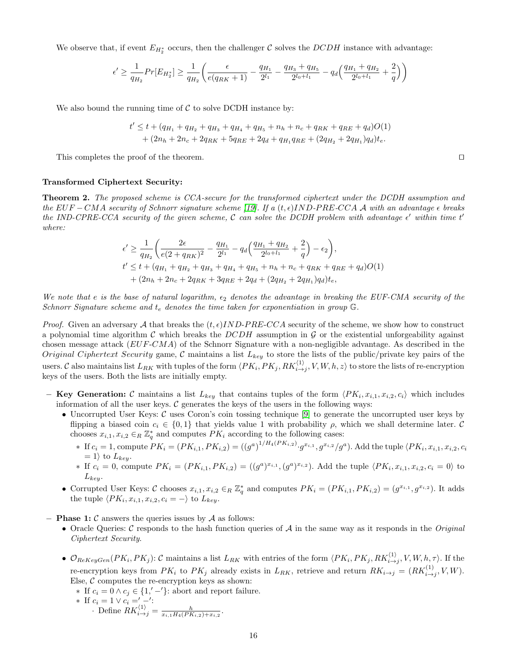We observe that, if event  $E_{H_2^*}$  occurs, then the challenger C solves the  $DCDH$  instance with advantage:

$$
\epsilon' \ge \frac{1}{q_{H_2}} Pr[E_{H_2^*}] \ge \frac{1}{q_{H_2}} \left( \frac{\epsilon}{e(q_{RK}+1)} - \frac{q_{H_1}}{2^{l_1}} - \frac{q_{H_3}+q_{H_5}}{2^{l_0+l_1}} - q_d \left( \frac{q_{H_1}+q_{H_2}}{2^{l_0+l_1}} + \frac{2}{q} \right) \right)
$$

We also bound the running time of  $\mathcal C$  to solve DCDH instance by:

$$
t' \le t + (q_{H_1} + q_{H_2} + q_{H_3} + q_{H_4} + q_{H_5} + n_h + n_c + q_{RK} + q_{RE} + q_d)O(1) + (2n_h + 2n_c + 2q_{RK} + 5q_{RE} + 2q_d + q_{H_1}q_{RE} + (2q_{H_2} + 2q_{H_1})q_d)t_e.
$$

This completes the proof of the theorem.  $\Box$ 

### Transformed Ciphertext Security:

**Theorem 2.** The proposed scheme is CCA-secure for the transformed ciphertext under the DCDH assumption and the  $EUF - CMA$  security of Schnorr signature scheme [\[19\]](#page-20-15). If a  $(t, \epsilon)IND-PRE-CCA$  A with an advantage  $\epsilon$  breaks the IND-CPRE-CCA security of the given scheme,  $C$  can solve the DCDH problem with advantage  $\epsilon'$  within time t' where:

$$
\epsilon' \ge \frac{1}{q_{H_2}} \left( \frac{2\epsilon}{e(2+q_{RK})^2} - \frac{q_{H_1}}{2^{l_1}} - q_d \left( \frac{q_{H_1} + q_{H_2}}{2^{l_0+l_1}} + \frac{2}{q} \right) - \epsilon_2 \right),
$$
  

$$
t' \le t + (q_{H_1} + q_{H_2} + q_{H_3} + q_{H_4} + q_{H_5} + n_h + n_c + q_{RK} + q_{RE} + q_d)O(1)
$$
  

$$
+ (2n_h + 2n_c + 2q_{RK} + 3q_{RE} + 2q_d + (2q_{H_2} + 2q_{H_1})q_d)t_e,
$$

We note that e is the base of natural logarithm,  $\epsilon_2$  denotes the advantage in breaking the EUF-CMA security of the Schnorr Signature scheme and  $t_e$  denotes the time taken for exponentiation in group  $\mathbb{G}$ .

*Proof.* Given an adversary A that breaks the  $(t, \epsilon)$ *IND-PRE-CCA* security of the scheme, we show how to construct a polynomial time algorithm  $C$  which breaks the  $DCDH$  assumption in  $G$  or the existential unforgeability against chosen message attack  $(EUF-CMA)$  of the Schnorr Signature with a non-negligible advantage. As described in the *Original Ciphertext Security* game, C maintains a list  $L_{key}$  to store the lists of the public/private key pairs of the users.  $\mathcal C$  also maintains list  $L_{RK}$  with tuples of the form  $\langle PK_i, PK_j, RK_{i\to j}^{\langle 1 \rangle}, V, W, h, z \rangle$  to store the lists of re-encryption keys of the users. Both the lists are initially empty.

- − Key Generation: C maintains a list  $L_{key}$  that contains tuples of the form  $\langle PK_i, x_{i,1}, x_{i,2}, c_i \rangle$  which includes information of all the user keys.  $C$  generates the keys of the users in the following ways:
	- Uncorrupted User Keys:  $\mathcal C$  uses Coron's coin tossing technique  $[9]$  to generate the uncorrupted user keys by flipping a biased coin  $c_i \in \{0,1\}$  that yields value 1 with probability  $\rho$ , which we shall determine later. C chooses  $x_{i,1}, x_{i,2} \in_R \mathbb{Z}_q^*$  and computes  $PK_i$  according to the following cases:
		- ∗ If  $c_i = 1$ , compute  $PK_i = (PK_{i,1}, PK_{i,2}) = ((g^a)^{1/H_4(PK_{i,2})} \cdot g^{x_{i,1}}, g^{x_{i,2}}/g^a)$ . Add the tuple  $\langle PK_i, x_{i,1}, x_{i,2}, c_i \rangle$  $= 1$  to  $L_{keu}$ .
		- \* If  $c_i = 0$ , compute  $PK_i = (PK_{i,1}, PK_{i,2}) = ((g^a)^{x_{i,1}}, (g^a)^{x_{i,2}})$ . Add the tuple  $\langle PK_i, x_{i,1}, x_{i,2}, c_i = 0 \rangle$  to  $L_{key}$ .
	- Corrupted User Keys: C chooses  $x_{i,1}, x_{i,2} \in_R \mathbb{Z}_q^*$  and computes  $PK_i = (PK_{i,1}, PK_{i,2}) = (g^{x_{i,1}}, g^{x_{i,2}})$ . It adds the tuple  $\langle PK_i, x_{i,1}, x_{i,2}, c_i = -\rangle$  to  $L_{key}$ .
- $-$  **Phase 1:**  $\mathcal{C}$  answers the queries issues by  $\mathcal{A}$  as follows:
	- Oracle Queries:  $\mathcal C$  responds to the hash function queries of  $\mathcal A$  in the same way as it responds in the *Original* Ciphertext Security.
	- $\mathcal{O}_{ReKeyGen}(PK_i, PK_j)$ : C maintains a list  $L_{RK}$  with entries of the form  $\langle PK_i, PK_j, RK_{i\rightarrow j}^{(1)}, V, W, h, \tau \rangle$ . If the re-encryption keys from  $PK_i$  to  $PK_j$  already exists in  $L_{RK}$ , retrieve and return  $RK_{i\rightarrow j} = (RK_{i\rightarrow j}^{(1)}, V, W)$ . Else,  $\mathcal C$  computes the re-encryption keys as shown:
		- ∗ If  $c_i = 0 \land c_j \in \{1, ' \}$ : abort and report failure.
		- \* If  $c_i = 1 \vee c_i = -1$ : · Define  $RK_{i\to j}^{(1)} = \frac{h}{x_{i,1}H_4(PK_{i,2})+x_{i,2}}$ .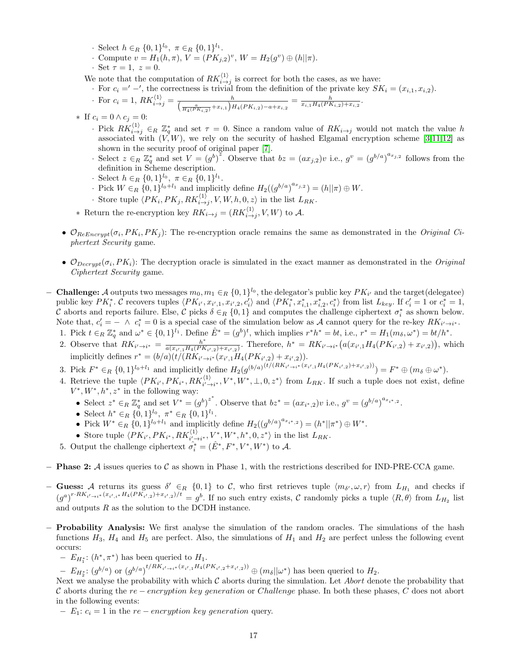- Select  $h \in_R \{0,1\}^{l_0}, \pi \in_R \{0,1\}^{l_1}.$
- Compute  $v = H_1(h, \pi), V = (PK_{j,2})^v, W = H_2(g^v) \oplus (h||\pi).$
- · Set  $\tau = 1, z = 0$ .
- We note that the computation of  $RK_{i\rightarrow j}^{\langle 1\rangle}$  is correct for both the cases, as we have:
	- $\cdot$  For  $c_i =' -'$ , the correctness is trivial from the definition of the private key  $SK_i = (x_{i,1}, x_{i,2})$ .
	- For  $c_i = 1$ ,  $RK_{i \to j}^{(1)} = \frac{h}{\left(\frac{a}{H_4(PK_{i,2})} + x_{i,1}\right)H_4(PK_{i,2}) a + x_{i,2}} = \frac{h}{x_{i,1}H_4(PK_{i,2}) + x_{i,2}}$ .
- ∗ If  $c_i = 0 \land c_j = 0$ :
	- Pick  $RK_{i\to j}^{(1)} \in_R \mathbb{Z}_q^*$  and set  $\tau = 0$ . Since a random value of  $RK_{i\to j}$  would not match the value h associated with  $(V, W)$ , we rely on the security of hashed Elgamal encryption scheme [\[3,](#page-20-17)[11,](#page-20-18)[12\]](#page-20-19) as shown in the security proof of original paper [\[7\]](#page-20-14).
	- Select  $z \in_R \mathbb{Z}_q^*$  and set  $V = (g^b)^2$ . Observe that  $bz = (ax_{j,2})v$  i.e.,  $g^v = (g^{b/a})^{a_{x_{j,2}}}$  follows from the definition in Scheme description.
	- · Select  $h \in_R \{0,1\}^{l_0}, \pi \in_R \{0,1\}^{l_1}.$
	- · Pick  $W \in_R \{0,1\}^{l_0+l_1}$  and implicitly define  $H_2((g^{b/a})^{a_{x_{j,2}}}) = (h||\pi) \oplus W$ .
	- · Store tuple  $\langle PK_i, PK_j, RK_{i\rightarrow j}^{(1)}, V, W, h, 0, z \rangle$  in the list  $L_{RK}$ .
- ∗ Return the re-encryption key  $RK_{i\rightarrow j} = (RK_{i\rightarrow j}^{\langle 1 \rangle}, V, W)$  to A.
- $\mathcal{O}_{Re\,Energy}(\sigma_i, PK_i, PK_j)$ : The re-encryption oracle remains the same as demonstrated in the Original Ciphertext Security game.
- $\mathcal{O}_{Decrypt}(\sigma_i, PK_i)$ : The decryption oracle is simulated in the exact manner as demonstrated in the Original Ciphertext Security game.
- **Challenge:** A outputs two messages  $m_0, m_1 \in_R \{0, 1\}^{l_0}$ , the delegator's public key  $PK_{i'}$  and the target(delegatee) public key  $PK_i^*$ . C recovers tuples  $\langle PK_{i'}, x_{i',1}, x_{i',2}, c_i' \rangle$  and  $\langle PK_i^*, x_{i,1}^*, x_{i,2}^*, c_i^* \rangle$  from list  $L_{key}$ . If  $c_i' = 1$  or  $c_i^* = 1$ , C aborts and reports failure. Else, C picks  $\delta \in_R \{0,1\}$  and computes the challenge ciphertext  $\sigma_i^*$  as shown below. Note that,  $c_i' = - \land c_i^* = 0$  is a special case of the simulation below as A cannot query for the re-key  $RK_{i' \to i^*}$ .
	- 1. Pick  $t \in_R \mathbb{Z}_q^*$  and  $\omega^* \in \{0,1\}^{l_1}$ . Define  $\hat{E}^* = (g^b)^t$ , which implies  $r^*h^* = bt$ , i.e.,  $r^* = H_1(m_\delta, \omega^*) = bt/h^*$ .
	- 2. Observe that  $RK_{i' \to i^*} = \frac{h^*}{a(x \times H_i)R}$  $\frac{h^*}{a(x_{i',1}H_4(PK_{i',2})+x_{i',2})}$ . Therefore,  $h^* = RK_{i'\to i^*}(a(x_{i',1}H_4(PK_{i',2})+x_{i',2}))$ , which implicitly defines  $r^* = (b/a)(t/(RK_{i' \to i^*}(x_{i',1}H_4(PK_{i',2}) + x_{i',2})).$
	- 3. Pick  $F^* \in_R \{0,1\}^{l_0+l_1}$  and implicitly define  $H_2(g^{(b/a)^{(t/(RK_{i' \to i^*}(x_{i',1}H_4(PK_{i',2})+x_{i',2}))}) = F^* \oplus (m_\delta \oplus \omega^*).$
	- 4. Retrieve the tuple  $\langle PK_{i'}, PK_{i^*}, RK_{i'-i^*}^{(1)}, V^*, W^*, \perp, 0, z^* \rangle$  from  $L_{RK}$ . If such a tuple does not exist, define  $V^*, W^*, h^*, z^*$  in the following way:
		- Select  $z^* \in_R \mathbb{Z}_q^*$  and set  $V^* = (g^b)^{z^*}$ . Observe that  $bz^* = (ax_{i^*,2})v$  i.e.,  $g^v = (g^{b/a})^{a_{x_i^*,2}}$ .
		- Select  $h^* \in_R \{0,1\}^{l_0}, \pi^* \in_R \{0,1\}^{l_1}.$
		- Pick  $W^* \in_R \{0,1\}^{l_0+l_1}$  and implicitly define  $H_2({(g^{b/a})}^{a_{x_{i^*},2}}) = (h^*||\pi^*) \oplus W^*$ .
		- Store tuple  $\langle PK_{i'}, PK_{i^*}, RK_{i' \to i^*}^{(1)}, V^*, W^*, h^*, 0, z^* \rangle$  in the list  $L_{RK}$ .
	- 5. Output the challenge ciphertext  $\hat{\sigma_i^*} = (\hat{E}^*, F^*, V^*, W^*)$  to A.
- $-$  **Phase 2:** A issues queries to C as shown in Phase 1, with the restrictions described for IND-PRE-CCA game.
- − Guess: A returns its guess  $\delta' \in_R \{0,1\}$  to C, who first retrieves tuple  $\langle m_{\delta'}, \omega, r \rangle$  from  $L_{H_1}$  and checks if  $(g^{a})^{r \cdot RK_{i',i^*}H_4(PK_{i',2})+x_{i',2})/t} = g^b$ . If no such entry exists, C randomly picks a tuple  $\langle R, \theta \rangle$  from  $L_{H_2}$  list and outputs  $R$  as the solution to the DCDH instance.
- − Probability Analysis: We first analyse the simulation of the random oracles. The simulations of the hash functions  $H_3$ ,  $H_4$  and  $H_5$  are perfect. Also, the simulations of  $H_1$  and  $H_2$  are perfect unless the following event occurs:
	- $E_{H_1^*}: (h^*, \pi^*)$  has been queried to  $H_1$ . 1

 $- E_{H_2^*}$ :  $(g^{b/a})$  or  $(g^{b/a})^{t/RK_{i',i} + s(x_{i',1}H_4(PK_{i',2} + x_{i',2}))} \oplus (m_\delta ||\omega^*)$  has been queried to  $H_2$ .

Next we analyse the probability with which  $\mathcal C$  aborts during the simulation. Let Abort denote the probability that C aborts during the re – encryption key generation or Challenge phase. In both these phases, C does not abort in the following events:

 $-E_1: c_i = 1$  in the re – encryption key generation query.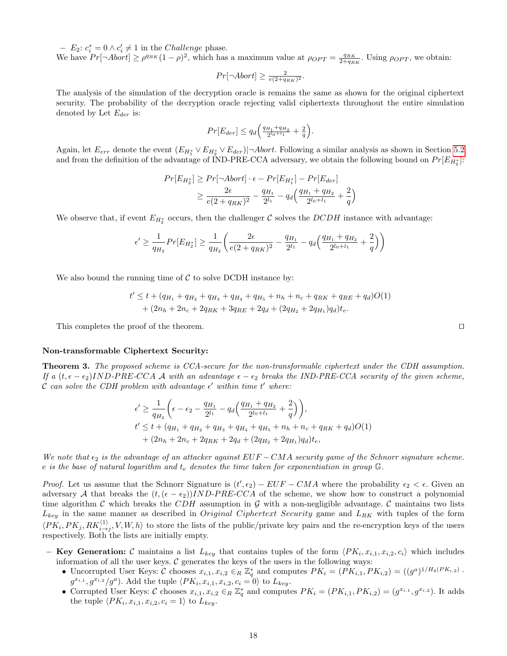−  $E_2$ :  $c_i^* = 0 \wedge c_i' \neq 1$  in the *Challenge* phase.

We have  $Pr[\neg Abort] \ge \rho^{q_{RK}}(1-\rho)^2$ , which has a maximum value at  $\rho_{OPT} = \frac{q_{RK}}{2+q_{RK}}$ . Using  $\rho_{OPT}$ , we obtain:

$$
Pr[\neg Abort] \ge \frac{2}{e(2+q_{RK})^2}.
$$

The analysis of the simulation of the decryption oracle is remains the same as shown for the original ciphertext security. The probability of the decryption oracle rejecting valid ciphertexts throughout the entire simulation denoted by Let  $E_{der}$  is:

$$
Pr[E_{der}] \le q_d \Big(\frac{q_{H_1} + q_{H_2}}{2^{l_0 + l_1}} + \frac{2}{q}\Big).
$$

Again, let  $E_{err}$  denote the event  $(E_{H_1^*} \vee E_{H_2^*} \vee E_{der})$   $\neg$  Abort. Following a similar analysis as shown in Section [5.2](#page-11-0) and from the definition of the advantage of IND-PRE-CCA adversary, we obtain the following bound on  $Pr[E_{H_2^*}]$ :

$$
Pr[E_{H_2^*}] \ge Pr[\neg{Abort}] \cdot \epsilon - Pr[E_{H_1^*}] - Pr[E_{der}]
$$
  
 
$$
\ge \frac{2\epsilon}{e(2 + q_{RK})^2} - \frac{q_{H_1}}{2^{l_1}} - q_d \left(\frac{q_{H_1} + q_{H_2}}{2^{l_0 + l_1}} + \frac{2}{q}\right)
$$

We observe that, if event  $E_{H_2^*}$  occurs, then the challenger C solves the  $DCDH$  instance with advantage:

$$
\epsilon' \ge \frac{1}{q_{H_2}} Pr[E_{H_2^*}] \ge \frac{1}{q_{H_2}} \left( \frac{2\epsilon}{e(2+q_{RK})^2} - \frac{q_{H_1}}{2^{l_1}} - q_d \left( \frac{q_{H_1} + q_{H_2}}{2^{l_0+l_1}} + \frac{2}{q} \right) \right)
$$

We also bound the running time of  $\mathcal C$  to solve DCDH instance by:

$$
t' \le t + (q_{H_1} + q_{H_2} + q_{H_3} + q_{H_4} + q_{H_5} + n_h + n_c + q_{RK} + q_{RE} + q_d)O(1) + (2n_h + 2n_c + 2q_{RK} + 3q_{RE} + 2q_d + (2q_{H_2} + 2q_{H_1})q_d)t_e.
$$

This completes the proof of the theorem.  $\Box$ 

### Non-transformable Ciphertext Security:

**Theorem 3.** The proposed scheme is CCA-secure for the non-transformable ciphertext under the CDH assumption. If a  $(t, \epsilon - \epsilon_2)$ IND-PRE-CCA A with an advantage  $\epsilon - \epsilon_2$  breaks the IND-PRE-CCA security of the given scheme, C can solve the CDH problem with advantage  $\epsilon'$  within time t' where:

$$
\epsilon' \ge \frac{1}{q_{H_2}} \left( \epsilon - \epsilon_2 - \frac{q_{H_1}}{2^{l_1}} - q_d \left( \frac{q_{H_1} + q_{H_2}}{2^{l_0 + l_1}} + \frac{2}{q} \right) \right),
$$
  
\n
$$
t' \le t + (q_{H_1} + q_{H_2} + q_{H_3} + q_{H_4} + q_{H_5} + n_h + n_c + q_{RK} + q_d)O(1)
$$
  
\n
$$
+ (2n_h + 2n_c + 2q_{RK} + 2q_d + (2q_{H_2} + 2q_{H_1})q_d)t_e,
$$

We note that  $\epsilon_2$  is the advantage of an attacker against  $EUF - CMA$  security game of the Schnorr signature scheme. e is the base of natural logarithm and  $t_e$  denotes the time taken for exponentiation in group  $\mathbb{G}$ .

Proof. Let us assume that the Schnorr Signature is  $(t', \epsilon_2) - EUF - CMA$  where the probability  $\epsilon_2 < \epsilon$ . Given an adversary A that breaks the  $(t,(\epsilon - \epsilon_2))IND-PRE-CCA$  of the scheme, we show how to construct a polynomial time algorithm C which breaks the CDH assumption in  $\mathcal G$  with a non-negligible advantage. C maintains two lists  $L_{key}$  in the same manner as described in *Original Ciphertext Security* game and  $L_{RK}$  with tuples of the form  $\langle PK_i, PK_j, RK_{i\rightarrow j}^{(1)}, V, W, h \rangle$  to store the lists of the public/private key pairs and the re-encryption keys of the users respectively. Both the lists are initially empty.

- − Key Generation: C maintains a list  $L_{key}$  that contains tuples of the form  $\langle PK_i, x_{i,1}, x_{i,2}, c_i \rangle$  which includes information of all the user keys.  $C$  generates the keys of the users in the following ways:
	- Uncorrupted User Keys:  $\mathcal{C}$  chooses  $x_{i,1}, x_{i,2} \in_R \mathbb{Z}_q^*$  and computes  $PK_i = (PK_{i,1}, PK_{i,2}) = ((g^a)^{1/H_4(PK_{i,2})}$ .  $g^{x_{i,1}}, g^{x_{i,2}}/g^a$ ). Add the tuple  $\langle PK_i, x_{i,1}, x_{i,2}, c_i = 0 \rangle$  to  $L_{key}$ .
	- Corrupted User Keys: C chooses  $x_{i,1}, x_{i,2} \in_R \mathbb{Z}_q^*$  and computes  $PK_i = (PK_{i,1}, PK_{i,2}) = (g^{x_{i,1}}, g^{x_{i,2}})$ . It adds the tuple  $\langle PK_i, x_{i,1}, x_{i,2}, c_i = 1 \rangle$  to  $L_{key}$ .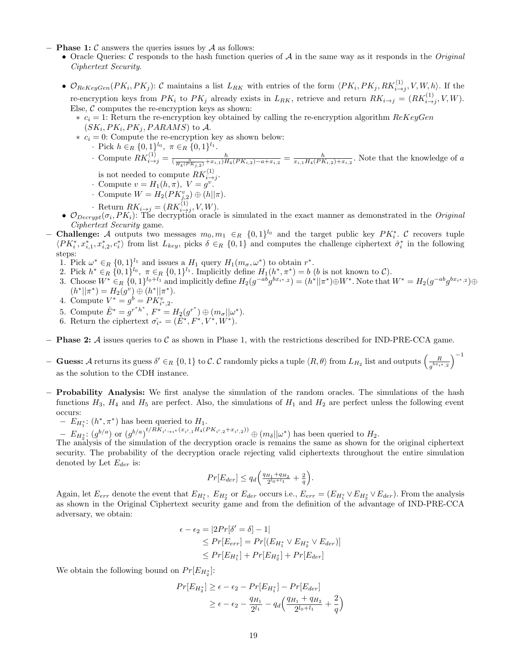- $-$  **Phase 1:**  $\mathcal C$  answers the queries issues by  $\mathcal A$  as follows:
	- Oracle Queries:  $\mathcal C$  responds to the hash function queries of  $\mathcal A$  in the same way as it responds in the *Original* Ciphertext Security.
	- $\mathcal{O}_{ReKeyGen}(PK_i, PK_j)$ : C maintains a list  $L_{RK}$  with entries of the form  $\langle PK_i, PK_j, RK_{i\rightarrow j}^{(1)}, V, W, h \rangle$ . If the re-encryption keys from  $PK_i$  to  $PK_j$  already exists in  $L_{RK}$ , retrieve and return  $RK_{i\rightarrow j} = (RK_{i\rightarrow j}^{(1)}, V, W)$ . Else,  $C$  computes the re-encryption keys as shown:
		- $\ast c_i = 1$ : Return the re-encryption key obtained by calling the re-encryption algorithm  $ReKeyGen$  $(SK_i, PK_i, PK_j, PARAMS)$  to A.
		- $\ast$  c<sub>i</sub> = 0: Compute the re-encryption key as shown below:
			- · Pick  $h \in_R \{0,1\}^{l_0}, \pi \in_R \{0,1\}^{l_1}.$
			- Compute  $RK_{i\to j}^{\langle 1 \rangle} = \frac{h}{(\frac{a}{H_4(FK_{j,2})} + x_{i,1})H_4(FK_{i,2}) a + x_{i,2}} = \frac{h}{x_{i,1}H_4(FK_{i,2}) + x_{i,2}}$ . Note that the knowledge of a is not needed to compute  $\mathit{RK}_{i\to j}^{\langle 1\rangle}$ .
			- Compute  $v = H_1(h, \pi)$ ,  $V = g^v$ .
			-
			- Compute  $W = H_2(PK_{j,2}^v) \oplus (h||\pi)$ .
			- · Return  $RK_{i\rightarrow j} = (RK_{i\rightarrow j}^{\langle 1 \rangle}, V, W)$ .
	- $\mathcal{O}_{Decrypt}(\sigma_i, PK_i)$ : The decryption oracle is simulated in the exact manner as demonstrated in the Original Ciphertext Security game.
- − Challenge: A outputs two messages  $m_0, m_1 \in_R \{0,1\}^{l_0}$  and the target public key  $PK_i^*$ . C recovers tuple  $\langle PK_i^*, x_{i,1}^*, x_{i,2}^*, c_i^* \rangle$  from list  $L_{key}$ , picks  $\delta \in_R \{0,1\}$  and computes the challenge ciphertext  $\hat{\sigma}_i^*$  in the following steps:
	- 1. Pick  $\omega^* \in_R \{0,1\}^{l_1}$  and issues a  $H_1$  query  $H_1(m_\sigma, \omega^*)$  to obtain  $r^*$ .
	- 2. Pick  $h^* \in_R \{0,1\}^{l_0}, \pi \in_R \{0,1\}^{l_1}$ . Implicitly define  $H_1(h^*, \pi^*) = b$  (b is not known to C).
	- 3. Choose  $W^* \in_R \{0,1\}^{l_0+l_1}$  and implicitly define  $H_2(g^{-ab}g^{bx_i*},2) = (h^*||\pi^*) \oplus W^*$ . Note that  $W^* = H_2(g^{-ab}g^{bx_i*},2) \oplus$  $(h^*||\pi^*) = H_2(g^v) \oplus (h^*||\pi^*).$
	- 4. Compute  $V^* = g^b = PK_{i^*,2}^v$ .
	- 5. Compute  $\hat{E}^* = g^{r^*h^*}, F^* = H_2(g^{r^*}) \oplus (m_\sigma || \omega^*).$
	- 6. Return the ciphertext  $\hat{\sigma_{i^*}} = (\tilde{E}^*, F^*, V^*, W^*).$
- $-$  **Phase 2:** A issues queries to C as shown in Phase 1, with the restrictions described for IND-PRE-CCA game.
- $-$  Guess: A returns its guess δ' ∈R {0, 1} to C. C randomly picks a tuple  $\langle R, θ \rangle$  from  $L_{H_2}$  list and outputs  $\left( \frac{R}{e^{bx_i}} \right)$  $\frac{R}{g^{bx_i *},2}$ <sup>-1</sup> as the solution to the CDH instance.
- − Probability Analysis: We first analyse the simulation of the random oracles. The simulations of the hash functions  $H_3$ ,  $H_4$  and  $H_5$  are perfect. Also, the simulations of  $H_1$  and  $H_2$  are perfect unless the following event occurs:
	- $E_{H_1^*}: (h^*, \pi^*)$  has been queried to  $H_1$ .
	- $E_{H_2^*}$ :  $(g^{b/a})$  or  $(g^{b/a})^{t/RK_{i' \to i^*}(x_{i',1}H_4(PK_{i',2}+x_{i',2}))} \oplus (m_\delta ||\omega^*)$  has been queried to  $H_2$ .

The analysis of the simulation of the decryption oracle is remains the same as shown for the original ciphertext security. The probability of the decryption oracle rejecting valid ciphertexts throughout the entire simulation denoted by Let  $E_{der}$  is:

$$
Pr[E_{der}] \le q_d \Big(\frac{q_{H_1} + q_{H_2}}{2^{l_0 + l_1}} + \frac{2}{q}\Big).
$$

Again, let  $E_{err}$  denote the event that  $E_{H_1^*}$ ,  $E_{H_2^*}$  or  $E_{der}$  occurs i.e.,  $E_{err} = (E_{H_1^*} \vee E_{H_2^*} \vee E_{der})$ . From the analysis as shown in the Original Ciphertext security game and from the definition of the advantage of IND-PRE-CCA adversary, we obtain:

$$
\epsilon - \epsilon_2 = |2Pr[\delta' = \delta] - 1|
$$
  
\n
$$
\leq Pr[E_{err}] = Pr[(E_{H_1^*} \vee E_{H_2^*} \vee E_{der})]
$$
  
\n
$$
\leq Pr[E_{H_1^*}] + Pr[E_{H_2^*}] + Pr[E_{der}]
$$

We obtain the following bound on  $Pr[E_{H_2^*}]$ :

$$
Pr[E_{H_2^*}] \ge \epsilon - \epsilon_2 - Pr[E_{H_1^*}] - Pr[E_{der}]
$$
  
 
$$
\ge \epsilon - \epsilon_2 - \frac{q_{H_1}}{2^{l_1}} - q_d \left(\frac{q_{H_1} + q_{H_2}}{2^{l_0 + l_1}} + \frac{2}{q}\right)
$$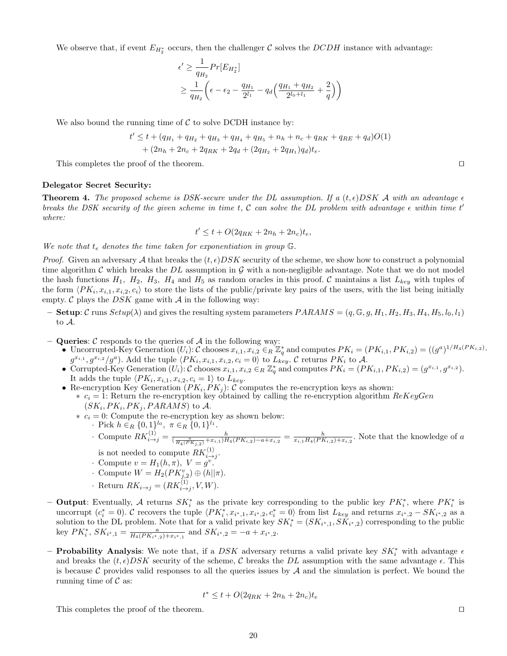We observe that, if event  $E_{H_2^*}$  occurs, then the challenger C solves the  $DCDH$  instance with advantage:

$$
\epsilon' \ge \frac{1}{q_{H_2}} Pr[E_{H_2^*}]
$$
  
 
$$
\ge \frac{1}{q_{H_2}} \left( \epsilon - \epsilon_2 - \frac{q_{H_1}}{2^{l_1}} - q_d \left( \frac{q_{H_1} + q_{H_2}}{2^{l_0 + l_1}} + \frac{2}{q} \right) \right)
$$

We also bound the running time of  $\mathcal C$  to solve DCDH instance by:

$$
t' \le t + (q_{H_1} + q_{H_2} + q_{H_3} + q_{H_4} + q_{H_5} + n_h + n_c + q_{RK} + q_{RE} + q_d)O(1) + (2n_h + 2n_c + 2q_{RK} + 2q_d + (2q_{H_2} + 2q_{H_1})q_d)t_e.
$$

This completes the proof of the theorem.  $\Box$ 

### Delegator Secret Security:

**Theorem 4.** The proposed scheme is DSK-secure under the DL assumption. If a  $(t, \epsilon)$ DSK A with an advantage  $\epsilon$ breaks the DSK security of the given scheme in time t,  $C$  can solve the DL problem with advantage  $\epsilon$  within time t' where:

$$
t' \le t + O(2q_{RK} + 2n_h + 2n_c)t_e,
$$

We note that  $t_e$  denotes the time taken for exponentiation in group  $\mathbb{G}$ .

*Proof.* Given an adversary A that breaks the  $(t, \epsilon)DSK$  security of the scheme, we show how to construct a polynomial time algorithm C which breaks the DL assumption in  $\mathcal G$  with a non-negligible advantage. Note that we do not model the hash functions  $H_1$ ,  $H_2$ ,  $H_3$ ,  $H_4$  and  $H_5$  as random oracles in this proof. C maintains a list  $L_{key}$  with tuples of the form  $\langle PK_i, x_{i,1}, x_{i,2}, c_i \rangle$  to store the lists of the public/private key pairs of the users, with the list being initially empty.  $\mathcal C$  plays the DSK game with  $\mathcal A$  in the following way:

- $-$  Setup: C runs  $Setup(\lambda)$  and gives the resulting system parameters  $PARAMS = (q, \mathbb{G}, g, H_1, H_2, H_3, H_4, H_5, l_0, l_1)$ to A.
- Queries:  $\mathcal C$  responds to the queries of  $\mathcal A$  in the following way:
	- Uncorrupted-Key Generation  $(U_i)$ : C chooses  $x_{i,1}, x_{i,2} \in_R \mathbb{Z}_q^*$  and computes  $PK_i = (PK_{i,1}, PK_{i,2}) = ((g^a)^{1/H_4(PK_{i,2})})$ .  $(g^{x_{i,1}}, g^{x_{i,2}}/g^a)$ . Add the tuple  $\langle PK_i, x_{i,1}, x_{i,2}, c_i = 0 \rangle$  to  $L_{key}$ . C returns  $PK_i$  to A.
	- Corrupted-Key Generation  $(U_i)$ : C chooses  $x_{i,1}, x_{i,2} \in_R \mathbb{Z}_q^*$  and computes  $PK_i = (PK_{i,1}, PK_{i,2}) = (g^{x_{i,1}}, g^{x_{i,2}})$ . It adds the tuple  $\langle PK_i, x_{i,1}, x_{i,2}, c_i = 1 \rangle$  to  $L_{key}$ .
	- Re-encryption Key Generation  $(PK_i, PK_j):$  C computes the re-encryption keys as shown:
		- $* c_i = 1$ : Return the re-encryption key obtained by calling the re-encryption algorithm  $ReKeyGen$  $(SK_i, PK_i, PK_j, PARAMS)$  to A.
		- $\ast$  c<sub>i</sub> = 0: Compute the re-encryption key as shown below:
			- · Pick  $h \in_R \{0,1\}^{l_0}, \pi \in_R \{0,1\}^{l_1}.$

Compute 
$$
RK_{i \to j}^{\langle 1 \rangle} = \frac{h}{(\frac{a}{H_4(PK_{i,2})} + x_{i,1})H_4(PK_{i,2}) - a + x_{i,2}} = \frac{h}{x_{i,1}H_4(PK_{i,2}) + x_{i,2}}
$$
. Note that the knowledge of a

- is not needed to compute  $\mathit{RK}_{i\to j}^{\langle 1\rangle}$ .
- Compute  $v = H_1(h, \pi)$ ,  $V = g^v$ .
- Compute  $W = H_2(PK_{j,2}^v) \oplus (h||\pi)$ .
- · Return  $RK_{i\rightarrow j} = (RK_{i\rightarrow j}^{\langle 1 \rangle}, V, W)$ .
- **Output**: Eventually, A returns  $SK_i^*$  as the private key corresponding to the public key  $PK_i^*$ , where  $PK_i^*$  is uncorrupt  $(c_i^* = 0)$ . C recovers the tuple  $\langle PK_i^*, x_{i^*,1}, x_{i^*,2}, c_i^* = 0 \rangle$  from list  $L_{key}$  and returns  $x_{i^*,2} - SK_{i^*,2}$  as a solution to the DL problem. Note that for a valid private key  $SK_i^* = (SK_{i^*,1}, SK_{i^*,2})$  corresponding to the public key  $PK_i^*$ ,  $SK_{i^*,1} = \frac{a}{H_4(PK_{i^*,2})+x_{i^*,1}}$  and  $SK_{i^*,2} = -a + x_{i^*,2}$ .
- Probability Analysis: We note that, if a DSK adversary returns a valid private key  $SK_i^*$  with advantage  $\epsilon$ and breaks the  $(t, \epsilon)DSK$  security of the scheme, C breaks the DL assumption with the same advantage  $\epsilon$ . This is because C provides valid responses to all the queries issues by A and the simulation is perfect. We bound the running time of  $\mathcal C$  as:

$$
t^* \le t + O(2q_{RK} + 2n_h + 2n_c)t_e
$$

This completes the proof of the theorem.  $\Box$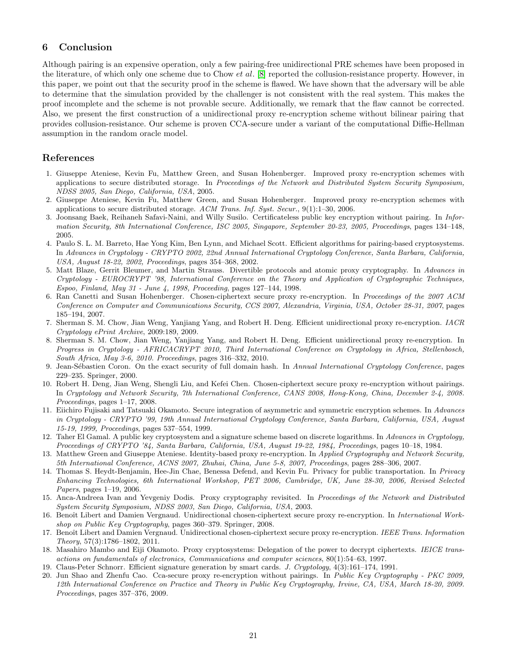# 6 Conclusion

Although pairing is an expensive operation, only a few pairing-free unidirectional PRE schemes have been proposed in the literature, of which only one scheme due to Chow *et al.* [\[8\]](#page-20-12) reported the collusion-resistance property. However, in this paper, we point out that the security proof in the scheme is flawed. We have shown that the adversary will be able to determine that the simulation provided by the challenger is not consistent with the real system. This makes the proof incomplete and the scheme is not provable secure. Additionally, we remark that the flaw cannot be corrected. Also, we present the first construction of a unidirectional proxy re-encryption scheme without bilinear pairing that provides collusion-resistance. Our scheme is proven CCA-secure under a variant of the computational Diffie-Hellman assumption in the random oracle model.

## References

- <span id="page-20-1"></span>1. Giuseppe Ateniese, Kevin Fu, Matthew Green, and Susan Hohenberger. Improved proxy re-encryption schemes with applications to secure distributed storage. In Proceedings of the Network and Distributed System Security Symposium, NDSS 2005, San Diego, California, USA, 2005.
- <span id="page-20-2"></span>2. Giuseppe Ateniese, Kevin Fu, Matthew Green, and Susan Hohenberger. Improved proxy re-encryption schemes with applications to secure distributed storage. ACM Trans. Inf. Syst. Secur., 9(1):1–30, 2006.
- <span id="page-20-17"></span>3. Joonsang Baek, Reihaneh Safavi-Naini, and Willy Susilo. Certificateless public key encryption without pairing. In Information Security, 8th International Conference, ISC 2005, Singapore, September 20-23, 2005, Proceedings, pages 134–148, 2005.
- <span id="page-20-9"></span>4. Paulo S. L. M. Barreto, Hae Yong Kim, Ben Lynn, and Michael Scott. Efficient algorithms for pairing-based cryptosystems. In Advances in Cryptology - CRYPTO 2002, 22nd Annual International Cryptology Conference, Santa Barbara, California, USA, August 18-22, 2002, Proceedings, pages 354–368, 2002.
- <span id="page-20-4"></span>5. Matt Blaze, Gerrit Bleumer, and Martin Strauss. Divertible protocols and atomic proxy cryptography. In Advances in Cryptology - EUROCRYPT '98, International Conference on the Theory and Application of Cryptographic Techniques, Espoo, Finland, May 31 - June 4, 1998, Proceeding, pages 127–144, 1998.
- <span id="page-20-6"></span>6. Ran Canetti and Susan Hohenberger. Chosen-ciphertext secure proxy re-encryption. In Proceedings of the 2007 ACM Conference on Computer and Communications Security, CCS 2007, Alexandria, Virginia, USA, October 28-31, 2007, pages 185–194, 2007.
- <span id="page-20-14"></span>7. Sherman S. M. Chow, Jian Weng, Yanjiang Yang, and Robert H. Deng. Efficient unidirectional proxy re-encryption. IACR Cryptology ePrint Archive, 2009:189, 2009.
- <span id="page-20-12"></span>8. Sherman S. M. Chow, Jian Weng, Yanjiang Yang, and Robert H. Deng. Efficient unidirectional proxy re-encryption. In Progress in Cryptology - AFRICACRYPT 2010, Third International Conference on Cryptology in Africa, Stellenbosch, South Africa, May 3-6, 2010. Proceedings, pages 316–332, 2010.
- <span id="page-20-16"></span>9. Jean-Sébastien Coron. On the exact security of full domain hash. In Annual International Cryptology Conference, pages 229–235. Springer, 2000.
- <span id="page-20-10"></span>10. Robert H. Deng, Jian Weng, Shengli Liu, and Kefei Chen. Chosen-ciphertext secure proxy re-encryption without pairings. In Cryptology and Network Security, 7th International Conference, CANS 2008, Hong-Kong, China, December 2-4, 2008. Proceedings, pages 1–17, 2008.
- <span id="page-20-18"></span>11. Eiichiro Fujisaki and Tatsuaki Okamoto. Secure integration of asymmetric and symmetric encryption schemes. In Advances in Cryptology - CRYPTO '99, 19th Annual International Cryptology Conference, Santa Barbara, California, USA, August 15-19, 1999, Proceedings, pages 537–554, 1999.
- <span id="page-20-19"></span>12. Taher El Gamal. A public key cryptosystem and a signature scheme based on discrete logarithms. In Advances in Cryptology, Proceedings of CRYPTO '84, Santa Barbara, California, USA, August 19-22, 1984, Proceedings, pages 10–18, 1984.
- <span id="page-20-8"></span>13. Matthew Green and Giuseppe Ateniese. Identity-based proxy re-encryption. In Applied Cryptography and Network Security, 5th International Conference, ACNS 2007, Zhuhai, China, June 5-8, 2007, Proceedings, pages 288–306, 2007.
- <span id="page-20-3"></span>14. Thomas S. Heydt-Benjamin, Hee-Jin Chae, Benessa Defend, and Kevin Fu. Privacy for public transportation. In Privacy Enhancing Technologies, 6th International Workshop, PET 2006, Cambridge, UK, June 28-30, 2006, Revised Selected Papers, pages 1–19, 2006.
- <span id="page-20-5"></span>15. Anca-Andreea Ivan and Yevgeniy Dodis. Proxy cryptography revisited. In Proceedings of the Network and Distributed System Security Symposium, NDSS 2003, San Diego, California, USA, 2003.
- <span id="page-20-13"></span>16. Benoît Libert and Damien Vergnaud. Unidirectional chosen-ciphertext secure proxy re-encryption. In *International Work*shop on Public Key Cryptography, pages 360–379. Springer, 2008.
- <span id="page-20-7"></span>17. Benoît Libert and Damien Vergnaud. Unidirectional chosen-ciphertext secure proxy re-encryption. IEEE Trans. Information Theory, 57(3):1786–1802, 2011.
- <span id="page-20-0"></span>18. Masahiro Mambo and Eiji Okamoto. Proxy cryptosystems: Delegation of the power to decrypt ciphertexts. IEICE transactions on fundamentals of electronics, Communications and computer sciences, 80(1):54–63, 1997.
- <span id="page-20-15"></span>19. Claus-Peter Schnorr. Efficient signature generation by smart cards. J. Cryptology, 4(3):161–174, 1991.
- <span id="page-20-11"></span>20. Jun Shao and Zhenfu Cao. Cca-secure proxy re-encryption without pairings. In Public Key Cryptography - PKC 2009, 12th International Conference on Practice and Theory in Public Key Cryptography, Irvine, CA, USA, March 18-20, 2009. Proceedings, pages 357–376, 2009.